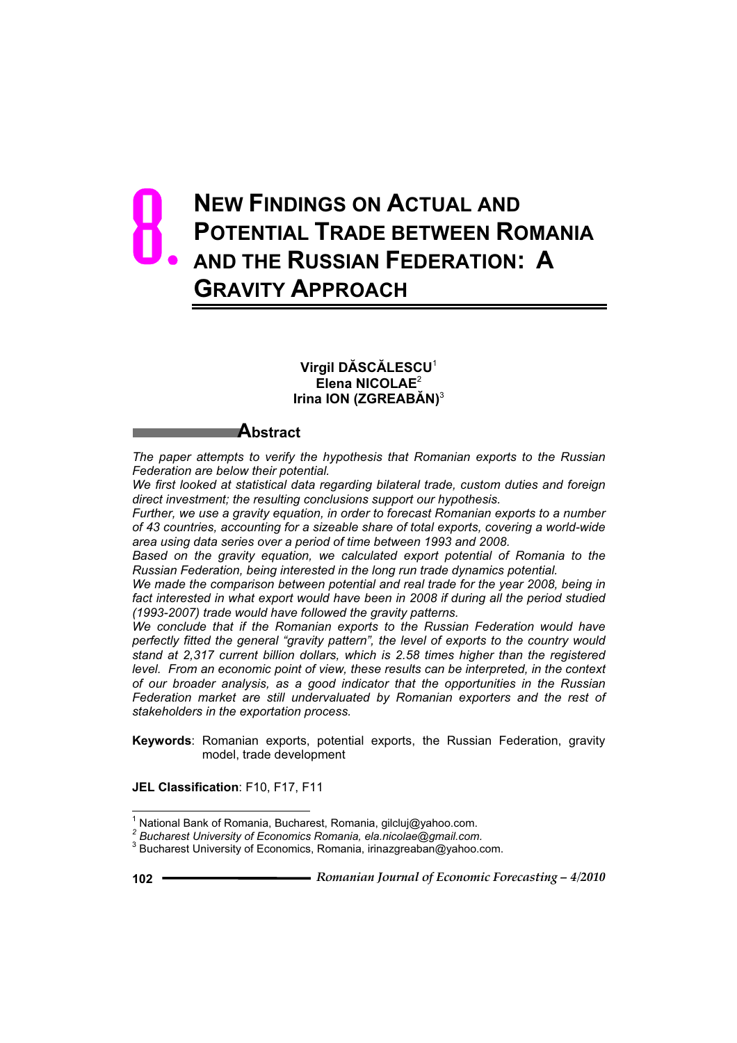# **NEW FINDINGS ON ACTUAL AND POTENTIAL TRADE BETWEEN ROMANIA AND THE RUSSIAN FEDERATION: A GRAVITY APPROACH** 8.

# **Virgil DĂSCĂLESCU**<sup>1</sup> **Elena NICOLAE**<sup>2</sup> **Irina ION (ZGREABĂN)**<sup>3</sup>

# **Abstract**

*The paper attempts to verify the hypothesis that Romanian exports to the Russian Federation are below their potential.*

*We first looked at statistical data regarding bilateral trade, custom duties and foreign direct investment; the resulting conclusions support our hypothesis.*

*Further, we use a gravity equation, in order to forecast Romanian exports to a number of 43 countries, accounting for a sizeable share of total exports, covering a world-wide area using data series over a period of time between 1993 and 2008.* 

*Based on the gravity equation, we calculated export potential of Romania to the Russian Federation, being interested in the long run trade dynamics potential.* 

*We made the comparison between potential and real trade for the year 2008, being in*  fact interested in what export would have been in 2008 if during all the period studied *(1993-2007) trade would have followed the gravity patterns.*

*We conclude that if the Romanian exports to the Russian Federation would have perfectly fitted the general "gravity pattern", the level of exports to the country would stand at 2,317 current billion dollars, which is 2.58 times higher than the registered level. From an economic point of view, these results can be interpreted, in the context of our broader analysis, as a good indicator that the opportunities in the Russian Federation market are still undervaluated by Romanian exporters and the rest of stakeholders in the exportation process.*

**Keywords**: Romanian exports, potential exports, the Russian Federation, gravity model, trade development

**JEL Classification**: F10, F17, F11

 $\overline{a}$ 

<sup>&</sup>lt;sup>1</sup> National Bank of Romania, Bucharest, Romania, gilcluj@yahoo.com.

*<sup>2</sup> Bucharest University of Economics Romania, ela.nicolae@gmail.com.* 

<sup>&</sup>lt;sup>3</sup> Bucharest University of Economics, Romania, irinazgreaban@yahoo.com.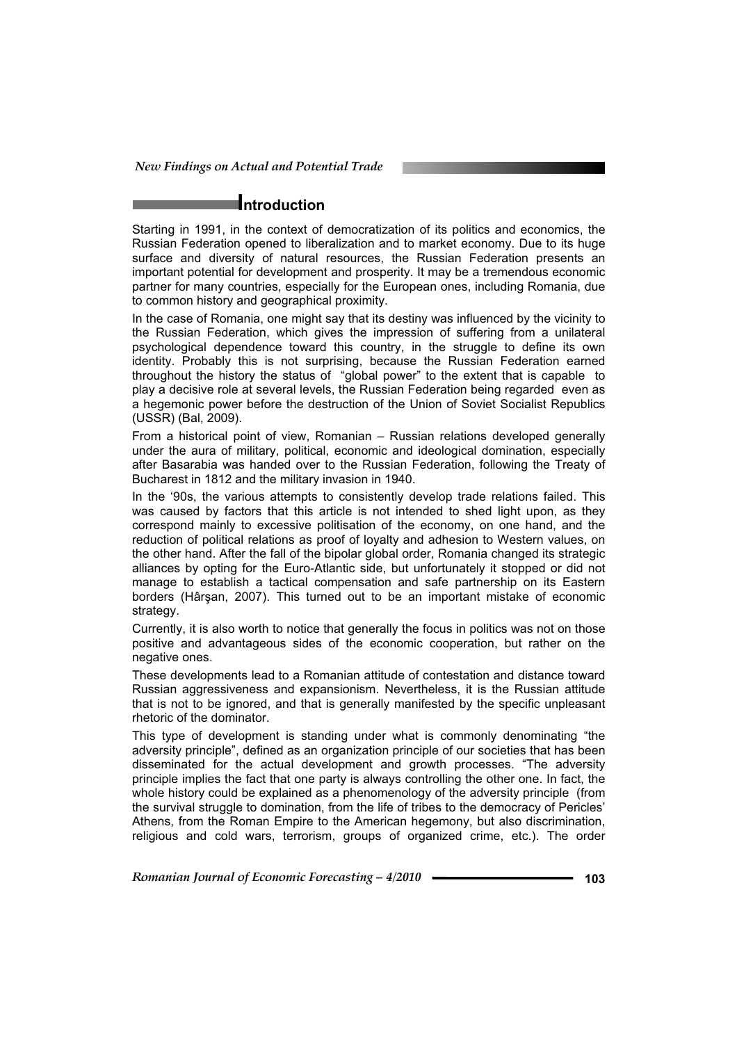*New Findings on Actual and Potential Trade* 

# **Introduction**

Starting in 1991, in the context of democratization of its politics and economics, the Russian Federation opened to liberalization and to market economy. Due to its huge surface and diversity of natural resources, the Russian Federation presents an important potential for development and prosperity. It may be a tremendous economic partner for many countries, especially for the European ones, including Romania, due to common history and geographical proximity.

In the case of Romania, one might say that its destiny was influenced by the vicinity to the Russian Federation, which gives the impression of suffering from a unilateral psychological dependence toward this country, in the struggle to define its own identity. Probably this is not surprising, because the Russian Federation earned throughout the history the status of "global power" to the extent that is capable to play a decisive role at several levels, the Russian Federation being regarded even as a hegemonic power before the destruction of the Union of Soviet Socialist Republics (USSR) (Bal, 2009).

From a historical point of view, Romanian – Russian relations developed generally under the aura of military, political, economic and ideological domination, especially after Basarabia was handed over to the Russian Federation, following the Treaty of Bucharest in 1812 and the military invasion in 1940.

In the '90s, the various attempts to consistently develop trade relations failed. This was caused by factors that this article is not intended to shed light upon, as they correspond mainly to excessive politisation of the economy, on one hand, and the reduction of political relations as proof of loyalty and adhesion to Western values, on the other hand. After the fall of the bipolar global order, Romania changed its strategic alliances by opting for the Euro-Atlantic side, but unfortunately it stopped or did not manage to establish a tactical compensation and safe partnership on its Eastern borders (Hârsan, 2007). This turned out to be an important mistake of economic strategy.

Currently, it is also worth to notice that generally the focus in politics was not on those positive and advantageous sides of the economic cooperation, but rather on the negative ones.

These developments lead to a Romanian attitude of contestation and distance toward Russian aggressiveness and expansionism. Nevertheless, it is the Russian attitude that is not to be ignored, and that is generally manifested by the specific unpleasant rhetoric of the dominator.

This type of development is standing under what is commonly denominating "the adversity principle", defined as an organization principle of our societies that has been disseminated for the actual development and growth processes. "The adversity principle implies the fact that one party is always controlling the other one. In fact, the whole history could be explained as a phenomenology of the adversity principle (from the survival struggle to domination, from the life of tribes to the democracy of Pericles' Athens, from the Roman Empire to the American hegemony, but also discrimination, religious and cold wars, terrorism, groups of organized crime, etc.). The order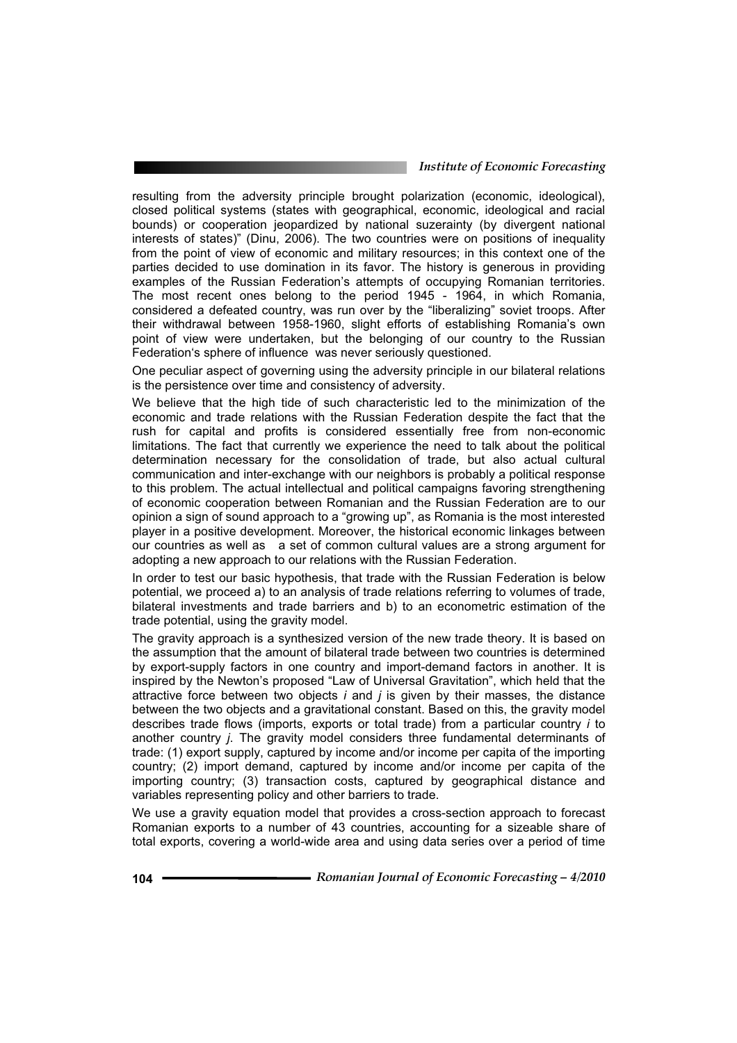resulting from the adversity principle brought polarization (economic, ideological), closed political systems (states with geographical, economic, ideological and racial bounds) or cooperation jeopardized by national suzerainty (by divergent national interests of states)" (Dinu, 2006). The two countries were on positions of inequality from the point of view of economic and military resources; in this context one of the parties decided to use domination in its favor. The history is generous in providing examples of the Russian Federation's attempts of occupying Romanian territories. The most recent ones belong to the period 1945 - 1964, in which Romania, considered a defeated country, was run over by the "liberalizing" soviet troops. After their withdrawal between 1958-1960, slight efforts of establishing Romania's own point of view were undertaken, but the belonging of our country to the Russian Federation's sphere of influence was never seriously questioned.

One peculiar aspect of governing using the adversity principle in our bilateral relations is the persistence over time and consistency of adversity.

We believe that the high tide of such characteristic led to the minimization of the economic and trade relations with the Russian Federation despite the fact that the rush for capital and profits is considered essentially free from non-economic limitations. The fact that currently we experience the need to talk about the political determination necessary for the consolidation of trade, but also actual cultural communication and inter-exchange with our neighbors is probably a political response to this problem. The actual intellectual and political campaigns favoring strengthening of economic cooperation between Romanian and the Russian Federation are to our opinion a sign of sound approach to a "growing up", as Romania is the most interested player in a positive development. Moreover, the historical economic linkages between our countries as well as a set of common cultural values are a strong argument for adopting a new approach to our relations with the Russian Federation.

In order to test our basic hypothesis, that trade with the Russian Federation is below potential, we proceed a) to an analysis of trade relations referring to volumes of trade, bilateral investments and trade barriers and b) to an econometric estimation of the trade potential, using the gravity model.

The gravity approach is a synthesized version of the new trade theory. It is based on the assumption that the amount of bilateral trade between two countries is determined by export-supply factors in one country and import-demand factors in another. It is inspired by the Newton's proposed "Law of Universal Gravitation", which held that the attractive force between two objects *i* and *j* is given by their masses, the distance between the two objects and a gravitational constant. Based on this, the gravity model describes trade flows (imports, exports or total trade) from a particular country *i* to another country *j*. The gravity model considers three fundamental determinants of trade: (1) export supply, captured by income and/or income per capita of the importing country; (2) import demand, captured by income and/or income per capita of the importing country; (3) transaction costs, captured by geographical distance and variables representing policy and other barriers to trade.

We use a gravity equation model that provides a cross-section approach to forecast Romanian exports to a number of 43 countries, accounting for a sizeable share of total exports, covering a world-wide area and using data series over a period of time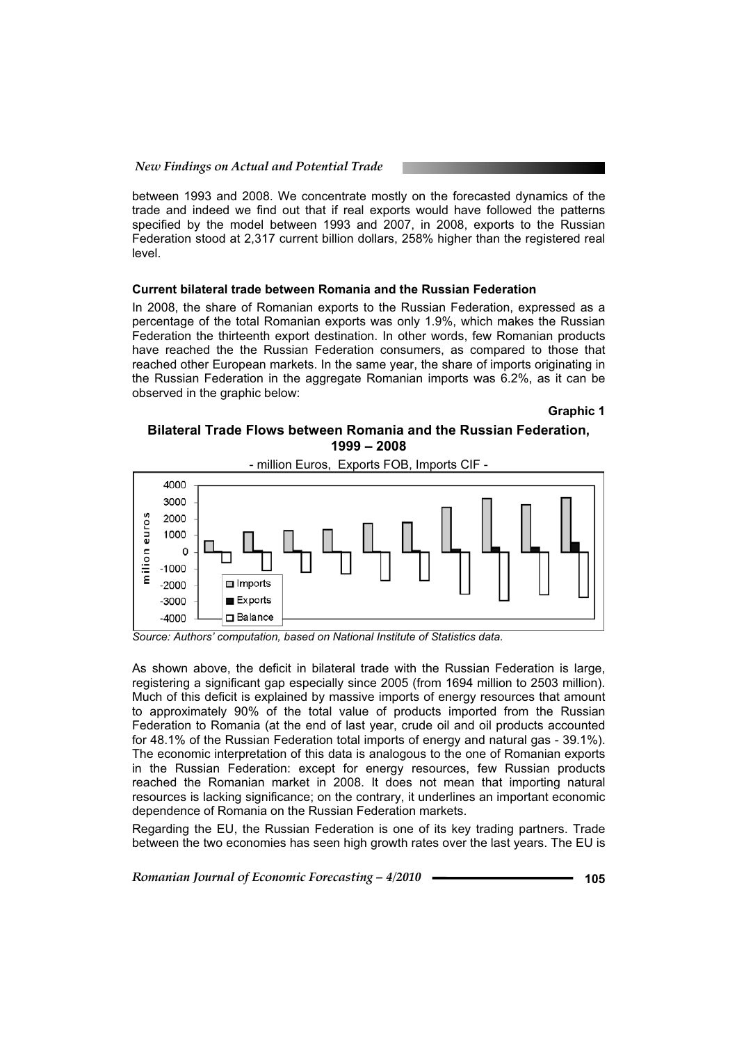between 1993 and 2008. We concentrate mostly on the forecasted dynamics of the trade and indeed we find out that if real exports would have followed the patterns specified by the model between 1993 and 2007, in 2008, exports to the Russian Federation stood at 2,317 current billion dollars, 258% higher than the registered real level.

# **Current bilateral trade between Romania and the Russian Federation**

In 2008, the share of Romanian exports to the Russian Federation, expressed as a percentage of the total Romanian exports was only 1.9%, which makes the Russian Federation the thirteenth export destination. In other words, few Romanian products have reached the the Russian Federation consumers, as compared to those that reached other European markets. In the same year, the share of imports originating in the Russian Federation in the aggregate Romanian imports was 6.2%, as it can be observed in the graphic below:

**Graphic 1** 

# **Bilateral Trade Flows between Romania and the Russian Federation, 1999 – 2008**



- million Euros, Exports FOB, Imports CIF -

*Source: Authors' computation, based on National Institute of Statistics data.* 

As shown above, the deficit in bilateral trade with the Russian Federation is large, registering a significant gap especially since 2005 (from 1694 million to 2503 million). Much of this deficit is explained by massive imports of energy resources that amount to approximately 90% of the total value of products imported from the Russian Federation to Romania (at the end of last year, crude oil and oil products accounted for 48.1% of the Russian Federation total imports of energy and natural gas - 39.1%). The economic interpretation of this data is analogous to the one of Romanian exports in the Russian Federation: except for energy resources, few Russian products reached the Romanian market in 2008. It does not mean that importing natural resources is lacking significance; on the contrary, it underlines an important economic dependence of Romania on the Russian Federation markets.

Regarding the EU, the Russian Federation is one of its key trading partners. Trade between the two economies has seen high growth rates over the last years. The EU is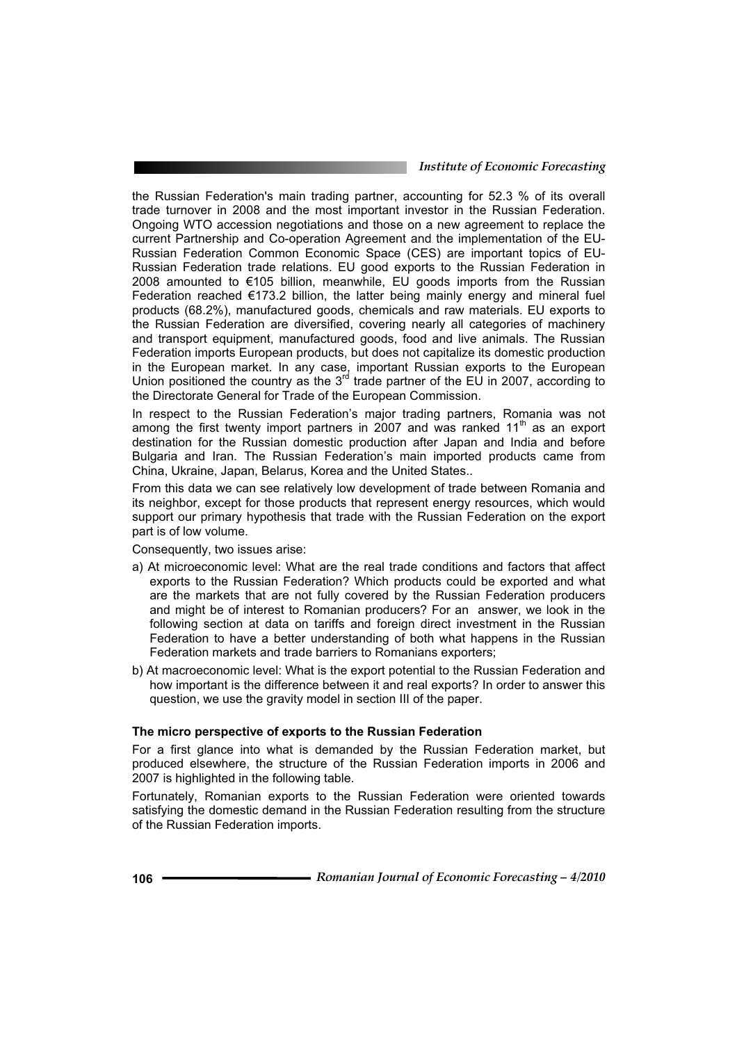the Russian Federation's main trading partner, accounting for 52.3 % of its overall trade turnover in 2008 and the most important investor in the Russian Federation. Ongoing WTO accession negotiations and those on a new agreement to replace the current Partnership and Co-operation Agreement and the implementation of the EU-Russian Federation Common Economic Space (CES) are important topics of EU-Russian Federation trade relations. EU good exports to the Russian Federation in 2008 amounted to €105 billion, meanwhile, EU goods imports from the Russian Federation reached  $\epsilon$ 173.2 billion, the latter being mainly energy and mineral fuel products (68.2%), manufactured goods, chemicals and raw materials. EU exports to the Russian Federation are diversified, covering nearly all categories of machinery and transport equipment, manufactured goods, food and live animals. The Russian Federation imports European products, but does not capitalize its domestic production in the European market. In any case, important Russian exports to the European Union positioned the country as the  $3<sup>rd</sup>$  trade partner of the EU in 2007, according to the Directorate General for Trade of the European Commission.

In respect to the Russian Federation's major trading partners, Romania was not among the first twenty import partners in 2007 and was ranked 11<sup>th</sup> as an export destination for the Russian domestic production after Japan and India and before Bulgaria and Iran. The Russian Federation's main imported products came from China, Ukraine, Japan, Belarus, Korea and the United States..

From this data we can see relatively low development of trade between Romania and its neighbor, except for those products that represent energy resources, which would support our primary hypothesis that trade with the Russian Federation on the export part is of low volume.

Consequently, two issues arise:

- a) At microeconomic level: What are the real trade conditions and factors that affect exports to the Russian Federation? Which products could be exported and what are the markets that are not fully covered by the Russian Federation producers and might be of interest to Romanian producers? For an answer, we look in the following section at data on tariffs and foreign direct investment in the Russian Federation to have a better understanding of both what happens in the Russian Federation markets and trade barriers to Romanians exporters;
- b) At macroeconomic level: What is the export potential to the Russian Federation and how important is the difference between it and real exports? In order to answer this question, we use the gravity model in section III of the paper.

# **The micro perspective of exports to the Russian Federation**

For a first glance into what is demanded by the Russian Federation market, but produced elsewhere, the structure of the Russian Federation imports in 2006 and 2007 is highlighted in the following table.

Fortunately, Romanian exports to the Russian Federation were oriented towards satisfying the domestic demand in the Russian Federation resulting from the structure of the Russian Federation imports.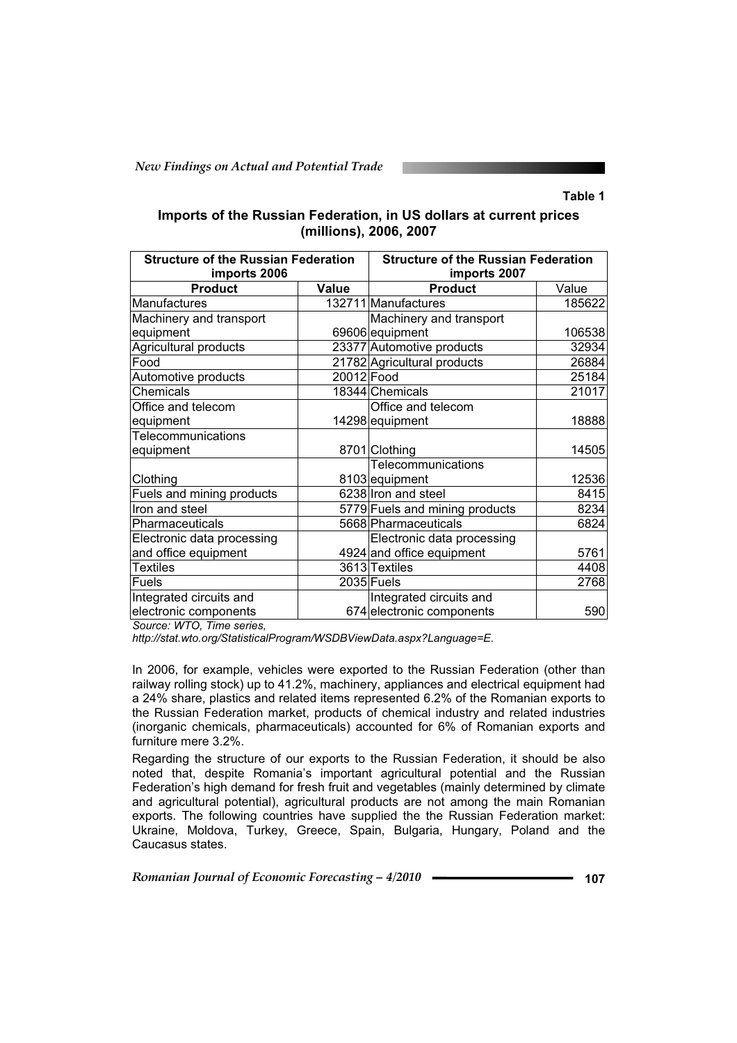# **Table 1**

# **Imports of the Russian Federation, in US dollars at current prices (millions), 2006, 2007**

| <b>Structure of the Russian Federation</b><br>imports 2006 |            | <b>Structure of the Russian Federation</b><br>imports 2007 |        |  |
|------------------------------------------------------------|------------|------------------------------------------------------------|--------|--|
| <b>Product</b>                                             | Value      | <b>Product</b>                                             | Value  |  |
| Manufactures                                               |            | 132711 Manufactures                                        | 185622 |  |
| Machinery and transport                                    |            | Machinery and transport                                    |        |  |
| equipment                                                  |            | 69606 equipment                                            | 106538 |  |
| <b>Agricultural products</b>                               |            | 23377 Automotive products                                  | 32934  |  |
| Food                                                       |            | 21782 Agricultural products                                | 26884  |  |
| Automotive products                                        | 20012 Food |                                                            | 25184  |  |
| Chemicals                                                  |            | 18344 Chemicals                                            | 21017  |  |
| Office and telecom                                         |            | Office and telecom                                         |        |  |
| equipment                                                  |            | 14298 equipment                                            | 18888  |  |
| Telecommunications                                         |            |                                                            |        |  |
| equipment                                                  |            | 8701 Clothing                                              | 14505  |  |
|                                                            |            | Telecommunications                                         |        |  |
| Clothing                                                   |            | 8103 equipment                                             | 12536  |  |
| Fuels and mining products                                  |            | 6238 Iron and steel                                        | 8415   |  |
| Iron and steel                                             |            | 5779 Fuels and mining products                             | 8234   |  |
| Pharmaceuticals                                            |            | 5668 Pharmaceuticals                                       | 6824   |  |
| Electronic data processing                                 |            | Electronic data processing                                 |        |  |
| and office equipment                                       |            | 4924 and office equipment                                  | 5761   |  |
| <b>Textiles</b>                                            |            | 3613 Textiles                                              | 4408   |  |
| Fuels                                                      |            | 2035 Fuels                                                 | 2768   |  |
| Integrated circuits and                                    |            | Integrated circuits and                                    |        |  |
| electronic components                                      |            | 674 electronic components                                  | 590    |  |

*Source: WTO, Time series,* 

*http://stat.wto.org/StatisticalProgram/WSDBViewData.aspx?Language=E.*

In 2006, for example, vehicles were exported to the Russian Federation (other than railway rolling stock) up to 41.2%, machinery, appliances and electrical equipment had a 24% share, plastics and related items represented 6.2% of the Romanian exports to the Russian Federation market, products of chemical industry and related industries (inorganic chemicals, pharmaceuticals) accounted for 6% of Romanian exports and furniture mere 3.2%.

Regarding the structure of our exports to the Russian Federation, it should be also noted that, despite Romania's important agricultural potential and the Russian Federation's high demand for fresh fruit and vegetables (mainly determined by climate and agricultural potential), agricultural products are not among the main Romanian exports. The following countries have supplied the the Russian Federation market: Ukraine, Moldova, Turkey, Greece, Spain, Bulgaria, Hungary, Poland and the Caucasus states.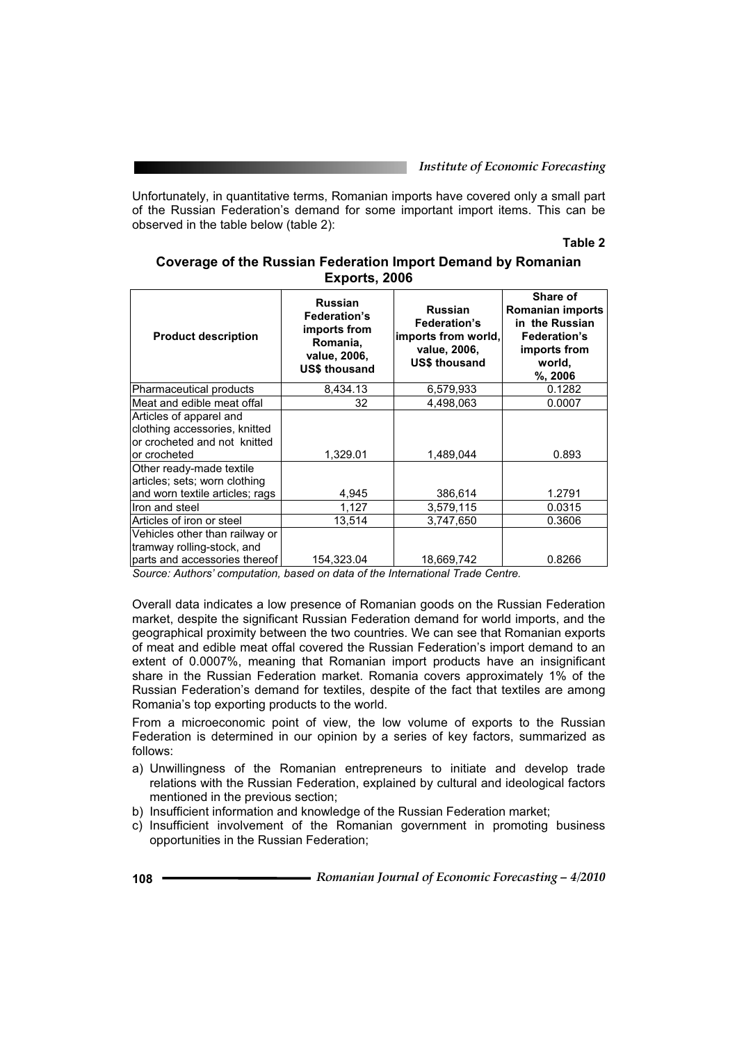Unfortunately, in quantitative terms, Romanian imports have covered only a small part of the Russian Federation's demand for some important import items. This can be observed in the table below (table 2):

## **Table 2**

| Coverage of the Russian Federation Import Demand by Romanian |
|--------------------------------------------------------------|
| Exports, 2006                                                |

| <b>Product description</b>                                                                               | <b>Russian</b><br><b>Federation's</b><br>imports from<br>Romania,<br>value, 2006,<br><b>US\$ thousand</b> | <b>Russian</b><br><b>Federation's</b><br>imports from world,<br>value, 2006.<br><b>US\$ thousand</b> | Share of<br>Romanian imports<br>in the Russian<br><b>Federation's</b><br>imports from<br>world,<br>$%$ , 2006 |
|----------------------------------------------------------------------------------------------------------|-----------------------------------------------------------------------------------------------------------|------------------------------------------------------------------------------------------------------|---------------------------------------------------------------------------------------------------------------|
| Pharmaceutical products                                                                                  | 8,434.13                                                                                                  | 6,579,933                                                                                            | 0.1282                                                                                                        |
| Meat and edible meat offal                                                                               | 32                                                                                                        | 4,498,063                                                                                            | 0.0007                                                                                                        |
| Articles of apparel and<br>clothing accessories, knitted<br>or crocheted and not knitted<br>or crocheted | 1,329.01                                                                                                  | 1,489,044                                                                                            | 0.893                                                                                                         |
| Other ready-made textile<br>articles; sets; worn clothing                                                |                                                                                                           |                                                                                                      |                                                                                                               |
| and worn textile articles; rags                                                                          | 4,945                                                                                                     | 386,614                                                                                              | 1.2791                                                                                                        |
| Iron and steel                                                                                           | 1,127                                                                                                     | 3,579,115                                                                                            | 0.0315                                                                                                        |
| Articles of iron or steel                                                                                | 13,514                                                                                                    | 3,747,650                                                                                            | 0.3606                                                                                                        |
| Vehicles other than railway or<br>tramway rolling-stock, and<br>parts and accessories thereof            | 154,323.04                                                                                                | 18,669,742                                                                                           | 0.8266                                                                                                        |
|                                                                                                          |                                                                                                           |                                                                                                      |                                                                                                               |

*Source: Authors' computation, based on data of the International Trade Centre.* 

Overall data indicates a low presence of Romanian goods on the Russian Federation market, despite the significant Russian Federation demand for world imports, and the geographical proximity between the two countries. We can see that Romanian exports of meat and edible meat offal covered the Russian Federation's import demand to an extent of 0.0007%, meaning that Romanian import products have an insignificant share in the Russian Federation market. Romania covers approximately 1% of the Russian Federation's demand for textiles, despite of the fact that textiles are among Romania's top exporting products to the world.

From a microeconomic point of view, the low volume of exports to the Russian Federation is determined in our opinion by a series of key factors, summarized as follows:

- a) Unwillingness of the Romanian entrepreneurs to initiate and develop trade relations with the Russian Federation, explained by cultural and ideological factors mentioned in the previous section;
- b) Insufficient information and knowledge of the Russian Federation market;
- c) Insufficient involvement of the Romanian government in promoting business opportunities in the Russian Federation;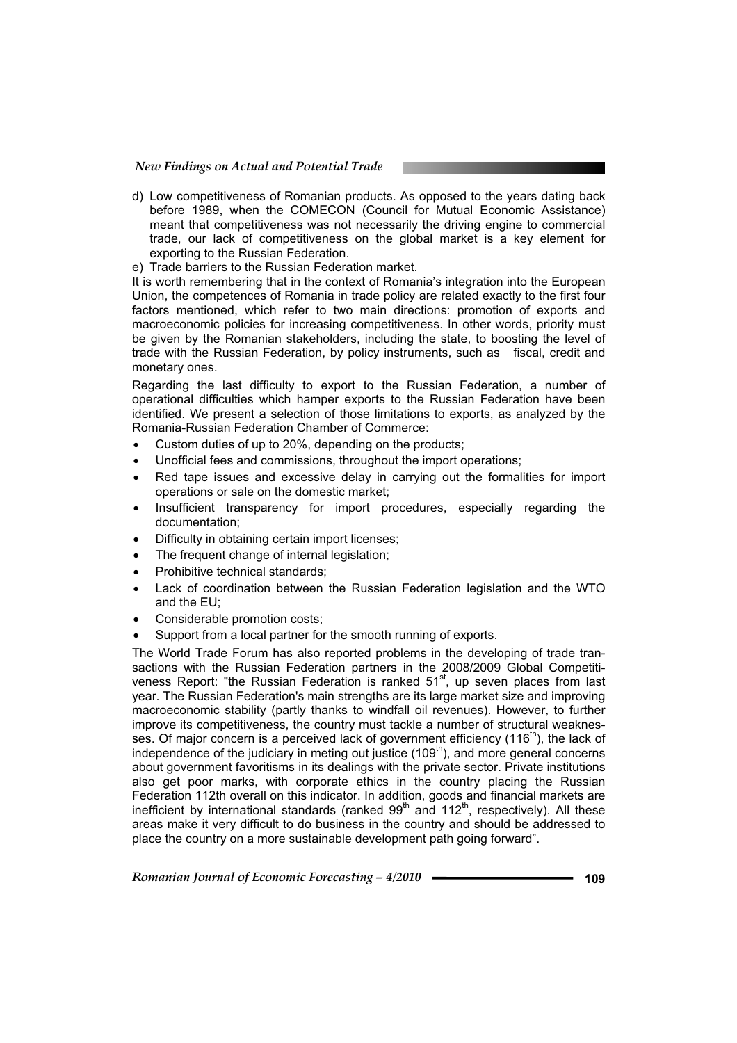d) Low competitiveness of Romanian products. As opposed to the years dating back before 1989, when the COMECON (Council for Mutual Economic Assistance) meant that competitiveness was not necessarily the driving engine to commercial trade, our lack of competitiveness on the global market is a key element for exporting to the Russian Federation.

e) Trade barriers to the Russian Federation market.

It is worth remembering that in the context of Romania's integration into the European Union, the competences of Romania in trade policy are related exactly to the first four factors mentioned, which refer to two main directions: promotion of exports and macroeconomic policies for increasing competitiveness. In other words, priority must be given by the Romanian stakeholders, including the state, to boosting the level of trade with the Russian Federation, by policy instruments, such as fiscal, credit and monetary ones.

Regarding the last difficulty to export to the Russian Federation, a number of operational difficulties which hamper exports to the Russian Federation have been identified. We present a selection of those limitations to exports, as analyzed by the Romania-Russian Federation Chamber of Commerce:

- Custom duties of up to 20%, depending on the products;
- Unofficial fees and commissions, throughout the import operations;
- Red tape issues and excessive delay in carrying out the formalities for import operations or sale on the domestic market;
- Insufficient transparency for import procedures, especially regarding the documentation;
- Difficulty in obtaining certain import licenses;
- The frequent change of internal legislation;
- Prohibitive technical standards;
- Lack of coordination between the Russian Federation legislation and the WTO and the EU;
- Considerable promotion costs:
- Support from a local partner for the smooth running of exports.

The World Trade Forum has also reported problems in the developing of trade transactions with the Russian Federation partners in the 2008/2009 Global Competitiveness Report: "the Russian Federation is ranked 51<sup>st</sup>, up seven places from last year. The Russian Federation's main strengths are its large market size and improving macroeconomic stability (partly thanks to windfall oil revenues). However, to further improve its competitiveness, the country must tackle a number of structural weaknesses. Of major concern is a perceived lack of government efficiency  $(116<sup>th</sup>)$ , the lack of independence of the judiciary in meting out justice  $(109<sup>th</sup>)$ , and more general concerns about government favoritisms in its dealings with the private sector. Private institutions also get poor marks, with corporate ethics in the country placing the Russian Federation 112th overall on this indicator. In addition, goods and financial markets are inefficient by international standards (ranked  $99<sup>th</sup>$  and  $112<sup>th</sup>$ , respectively). All these areas make it very difficult to do business in the country and should be addressed to place the country on a more sustainable development path going forward".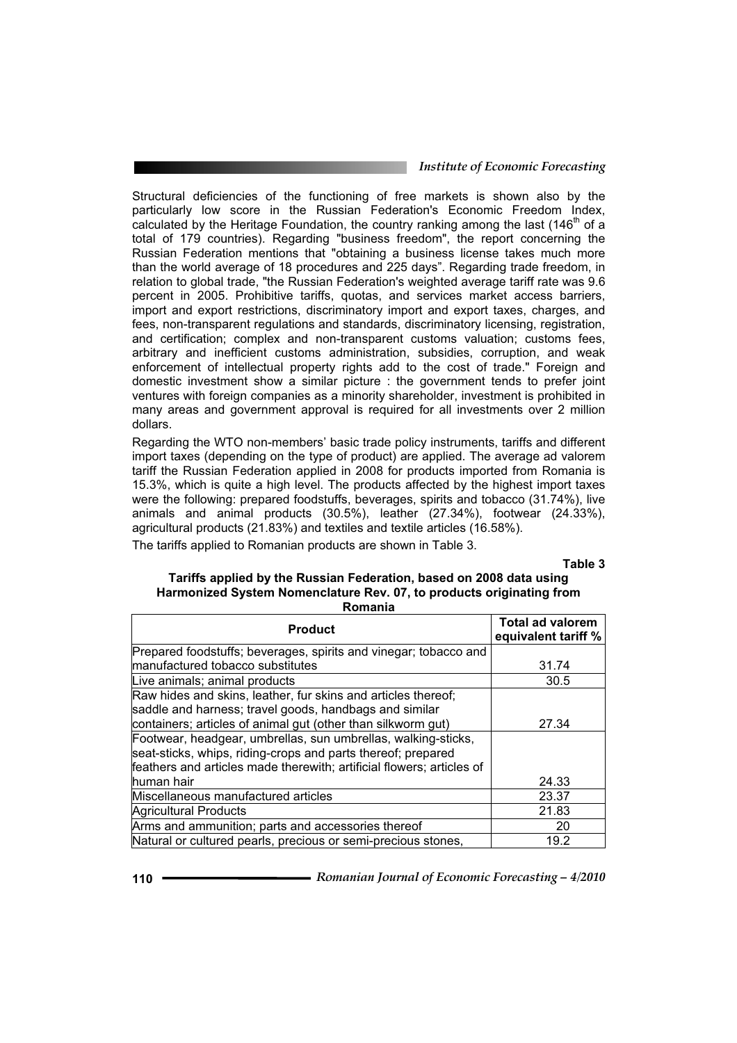Structural deficiencies of the functioning of free markets is shown also by the particularly low score in the Russian Federation's Economic Freedom Index, calculated by the Heritage Foundation, the country ranking among the last  $(146<sup>th</sup>$  of a total of 179 countries). Regarding "business freedom", the report concerning the Russian Federation mentions that "obtaining a business license takes much more than the world average of 18 procedures and 225 days". Regarding trade freedom, in relation to global trade, "the Russian Federation's weighted average tariff rate was 9.6 percent in 2005. Prohibitive tariffs, quotas, and services market access barriers, import and export restrictions, discriminatory import and export taxes, charges, and fees, non-transparent regulations and standards, discriminatory licensing, registration, and certification; complex and non-transparent customs valuation; customs fees, arbitrary and inefficient customs administration, subsidies, corruption, and weak enforcement of intellectual property rights add to the cost of trade." Foreign and domestic investment show a similar picture : the government tends to prefer joint ventures with foreign companies as a minority shareholder, investment is prohibited in many areas and government approval is required for all investments over 2 million dollars.

Regarding the WTO non-members' basic trade policy instruments, tariffs and different import taxes (depending on the type of product) are applied. The average ad valorem tariff the Russian Federation applied in 2008 for products imported from Romania is 15.3%, which is quite a high level. The products affected by the highest import taxes were the following: prepared foodstuffs, beverages, spirits and tobacco (31.74%), live animals and animal products (30.5%), leather (27.34%), footwear (24.33%), agricultural products (21.83%) and textiles and textile articles (16.58%).

The tariffs applied to Romanian products are shown in Table 3.

**Table 3**

#### **Tariffs applied by the Russian Federation, based on 2008 data using Harmonized System Nomenclature Rev. 07, to products originating from Romania**

| <b>Product</b>                                                        | <b>Total ad valorem</b><br>equivalent tariff % |
|-----------------------------------------------------------------------|------------------------------------------------|
| Prepared foodstuffs; beverages, spirits and vinegar; tobacco and      |                                                |
| manufactured tobacco substitutes                                      | 31.74                                          |
| Live animals; animal products                                         | 30.5                                           |
| Raw hides and skins, leather, fur skins and articles thereof;         |                                                |
| saddle and harness; travel goods, handbags and similar                |                                                |
| containers; articles of animal gut (other than silkworm gut)          | 27.34                                          |
| Footwear, headgear, umbrellas, sun umbrellas, walking-sticks,         |                                                |
| seat-sticks, whips, riding-crops and parts thereof; prepared          |                                                |
| feathers and articles made therewith; artificial flowers; articles of |                                                |
| human hair                                                            | 24.33                                          |
| Miscellaneous manufactured articles                                   | 23.37                                          |
| Agricultural Products                                                 | 21.83                                          |
| Arms and ammunition; parts and accessories thereof                    | 20                                             |
| Natural or cultured pearls, precious or semi-precious stones,         | 19.2                                           |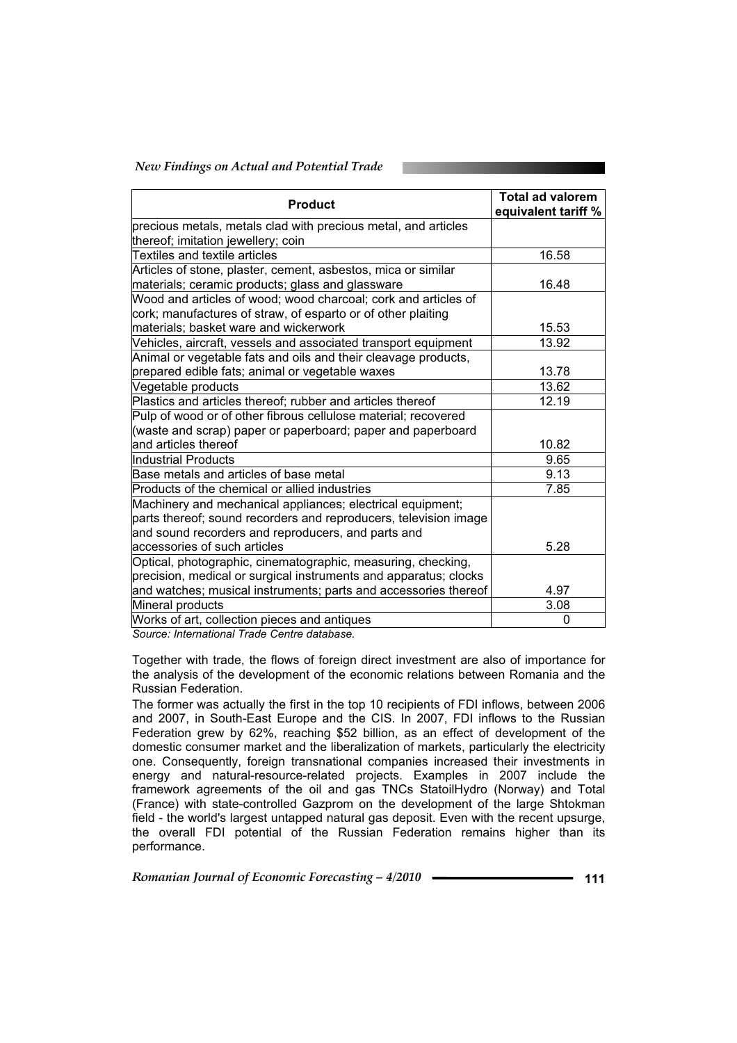## *New Findings on Actual and Potential Trade*

| <b>Product</b>                                                   | <b>Total ad valorem</b><br>equivalent tariff % |
|------------------------------------------------------------------|------------------------------------------------|
| precious metals, metals clad with precious metal, and articles   |                                                |
| thereof; imitation jewellery; coin                               |                                                |
| Textiles and textile articles                                    | 16.58                                          |
| Articles of stone, plaster, cement, asbestos, mica or similar    |                                                |
| materials; ceramic products; glass and glassware                 | 16.48                                          |
| Wood and articles of wood; wood charcoal; cork and articles of   |                                                |
| cork; manufactures of straw, of esparto or of other plaiting     |                                                |
| materials; basket ware and wickerwork                            | 15.53                                          |
| Vehicles, aircraft, vessels and associated transport equipment   | 13.92                                          |
| Animal or vegetable fats and oils and their cleavage products,   |                                                |
| prepared edible fats; animal or vegetable waxes                  | 13.78                                          |
| Vegetable products                                               | 13.62                                          |
| Plastics and articles thereof; rubber and articles thereof       | 12.19                                          |
| Pulp of wood or of other fibrous cellulose material; recovered   |                                                |
| (waste and scrap) paper or paperboard; paper and paperboard      |                                                |
| and articles thereof                                             | 10.82                                          |
| Industrial Products                                              | 9.65                                           |
| Base metals and articles of base metal                           | 9.13                                           |
| Products of the chemical or allied industries                    | 7.85                                           |
| Machinery and mechanical appliances; electrical equipment;       |                                                |
| parts thereof; sound recorders and reproducers, television image |                                                |
| and sound recorders and reproducers, and parts and               |                                                |
| accessories of such articles                                     | 5.28                                           |
| Optical, photographic, cinematographic, measuring, checking,     |                                                |
| precision, medical or surgical instruments and apparatus; clocks |                                                |
| and watches; musical instruments; parts and accessories thereof  | 4.97                                           |
| Mineral products                                                 | 3.08                                           |
| Works of art, collection pieces and antiques                     | $\Omega$                                       |

*Source: International Trade Centre database.* 

Together with trade, the flows of foreign direct investment are also of importance for the analysis of the development of the economic relations between Romania and the Russian Federation.

The former was actually the first in the top 10 recipients of FDI inflows, between 2006 and 2007, in South-East Europe and the CIS. In 2007, FDI inflows to the Russian Federation grew by 62%, reaching \$52 billion, as an effect of development of the domestic consumer market and the liberalization of markets, particularly the electricity one. Consequently, foreign transnational companies increased their investments in energy and natural-resource-related projects. Examples in 2007 include the framework agreements of the oil and gas TNCs StatoilHydro (Norway) and Total (France) with state-controlled Gazprom on the development of the large Shtokman field - the world's largest untapped natural gas deposit. Even with the recent upsurge, the overall FDI potential of the Russian Federation remains higher than its performance.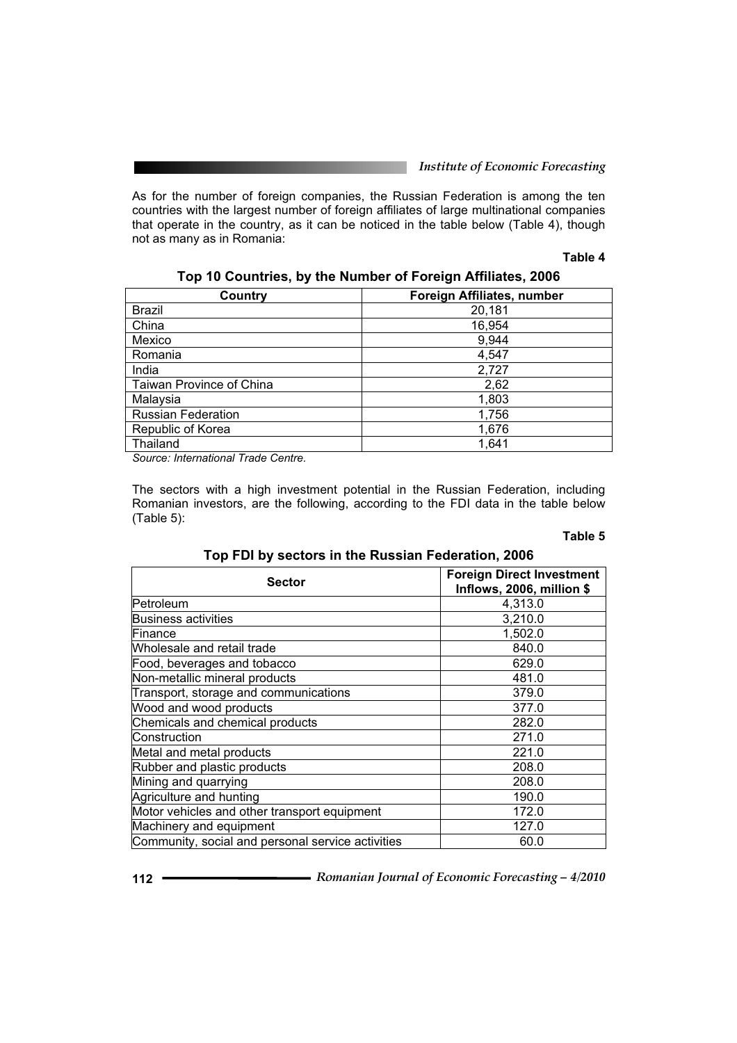As for the number of foreign companies, the Russian Federation is among the ten countries with the largest number of foreign affiliates of large multinational companies that operate in the country, as it can be noticed in the table below (Table 4), though not as many as in Romania:

#### **Table 4**

| Country                   | <b>Foreign Affiliates, number</b> |
|---------------------------|-----------------------------------|
| <b>Brazil</b>             | 20,181                            |
| China                     | 16,954                            |
| Mexico                    | 9,944                             |
| Romania                   | 4,547                             |
| India                     | 2,727                             |
| Taiwan Province of China  | 2,62                              |
| Malaysia                  | 1,803                             |
| <b>Russian Federation</b> | 1,756                             |
| Republic of Korea         | 1,676                             |
| Thailand                  | 1,641                             |
|                           |                                   |

# **Top 10 Countries, by the Number of Foreign Affiliates, 2006**

*Source: International Trade Centre.* 

The sectors with a high investment potential in the Russian Federation, including Romanian investors, are the following, according to the FDI data in the table below (Table 5):

# **Table 5**

# **Top FDI by sectors in the Russian Federation, 2006**

| <b>Sector</b>                                     | <b>Foreign Direct Investment</b><br>Inflows, 2006, million \$ |
|---------------------------------------------------|---------------------------------------------------------------|
| Petroleum                                         | 4,313.0                                                       |
| Business activities                               | 3,210.0                                                       |
| Finance                                           | 1,502.0                                                       |
| Wholesale and retail trade                        | 840.0                                                         |
| Food, beverages and tobacco                       | 629.0                                                         |
| Non-metallic mineral products                     | 481.0                                                         |
| Transport, storage and communications             | 379.0                                                         |
| Wood and wood products                            | 377.0                                                         |
| Chemicals and chemical products                   | 282.0                                                         |
| Construction                                      | 271.0                                                         |
| Metal and metal products                          | 221.0                                                         |
| Rubber and plastic products                       | 208.0                                                         |
| Mining and quarrying                              | 208.0                                                         |
| Agriculture and hunting                           | 190.0                                                         |
| Motor vehicles and other transport equipment      | 172.0                                                         |
| Machinery and equipment                           | 127.0                                                         |
| Community, social and personal service activities | 60.0                                                          |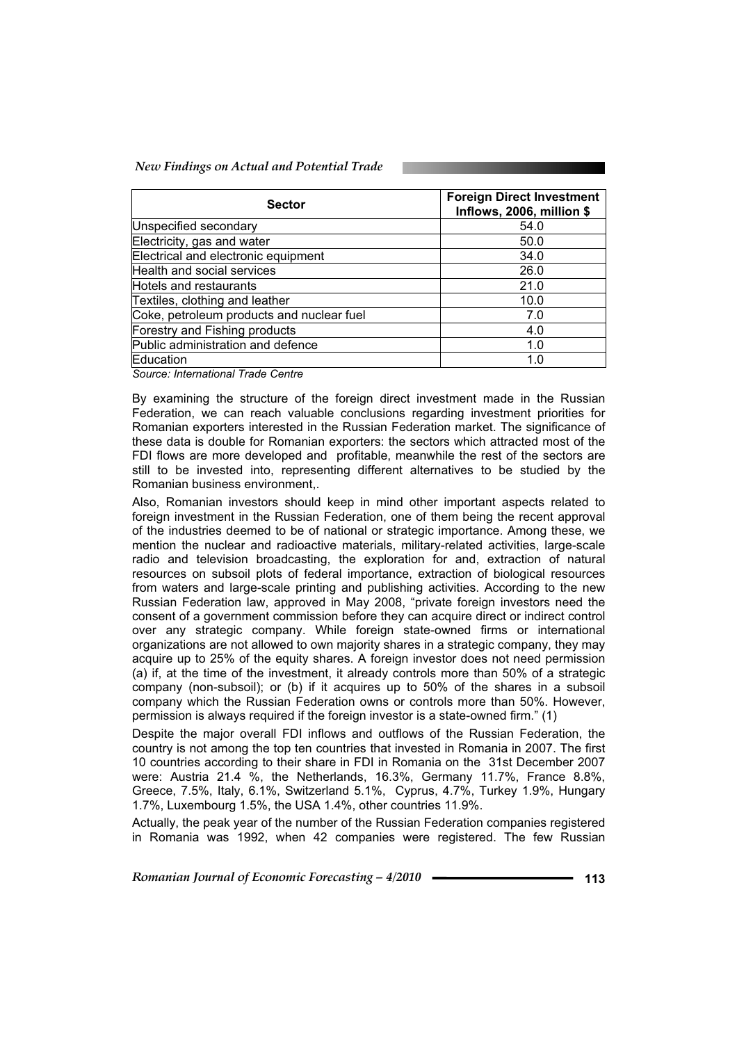*New Findings on Actual and Potential Trade* 

| <b>Sector</b>                             | <b>Foreign Direct Investment</b><br>Inflows, 2006, million \$ |
|-------------------------------------------|---------------------------------------------------------------|
| Unspecified secondary                     | 54.0                                                          |
| Electricity, gas and water                | 50.0                                                          |
| Electrical and electronic equipment       | 34.0                                                          |
| Health and social services                | 26.0                                                          |
| Hotels and restaurants                    | 21.0                                                          |
| Textiles, clothing and leather            | 10.0                                                          |
| Coke, petroleum products and nuclear fuel | 7.0                                                           |
| Forestry and Fishing products             | 4.0                                                           |
| Public administration and defence         | 1.0                                                           |
| Education                                 | 1.0                                                           |

*Source: International Trade Centre* 

By examining the structure of the foreign direct investment made in the Russian Federation, we can reach valuable conclusions regarding investment priorities for Romanian exporters interested in the Russian Federation market. The significance of these data is double for Romanian exporters: the sectors which attracted most of the FDI flows are more developed and profitable, meanwhile the rest of the sectors are still to be invested into, representing different alternatives to be studied by the Romanian business environment,.

Also, Romanian investors should keep in mind other important aspects related to foreign investment in the Russian Federation, one of them being the recent approval of the industries deemed to be of national or strategic importance. Among these, we mention the nuclear and radioactive materials, military-related activities, large-scale radio and television broadcasting, the exploration for and, extraction of natural resources on subsoil plots of federal importance, extraction of biological resources from waters and large-scale printing and publishing activities. According to the new Russian Federation law, approved in May 2008, "private foreign investors need the consent of a government commission before they can acquire direct or indirect control over any strategic company. While foreign state-owned firms or international organizations are not allowed to own majority shares in a strategic company, they may acquire up to 25% of the equity shares. A foreign investor does not need permission (a) if, at the time of the investment, it already controls more than 50% of a strategic company (non-subsoil); or (b) if it acquires up to 50% of the shares in a subsoil company which the Russian Federation owns or controls more than 50%. However, permission is always required if the foreign investor is a state-owned firm." (1)

Despite the major overall FDI inflows and outflows of the Russian Federation, the country is not among the top ten countries that invested in Romania in 2007. The first 10 countries according to their share in FDI in Romania on the 31st December 2007 were: Austria 21.4 %, the Netherlands, 16.3%, Germany 11.7%, France 8.8%, Greece, 7.5%, Italy, 6.1%, Switzerland 5.1%, Cyprus, 4.7%, Turkey 1.9%, Hungary 1.7%, Luxembourg 1.5%, the USA 1.4%, other countries 11.9%.

Actually, the peak year of the number of the Russian Federation companies registered in Romania was 1992, when 42 companies were registered. The few Russian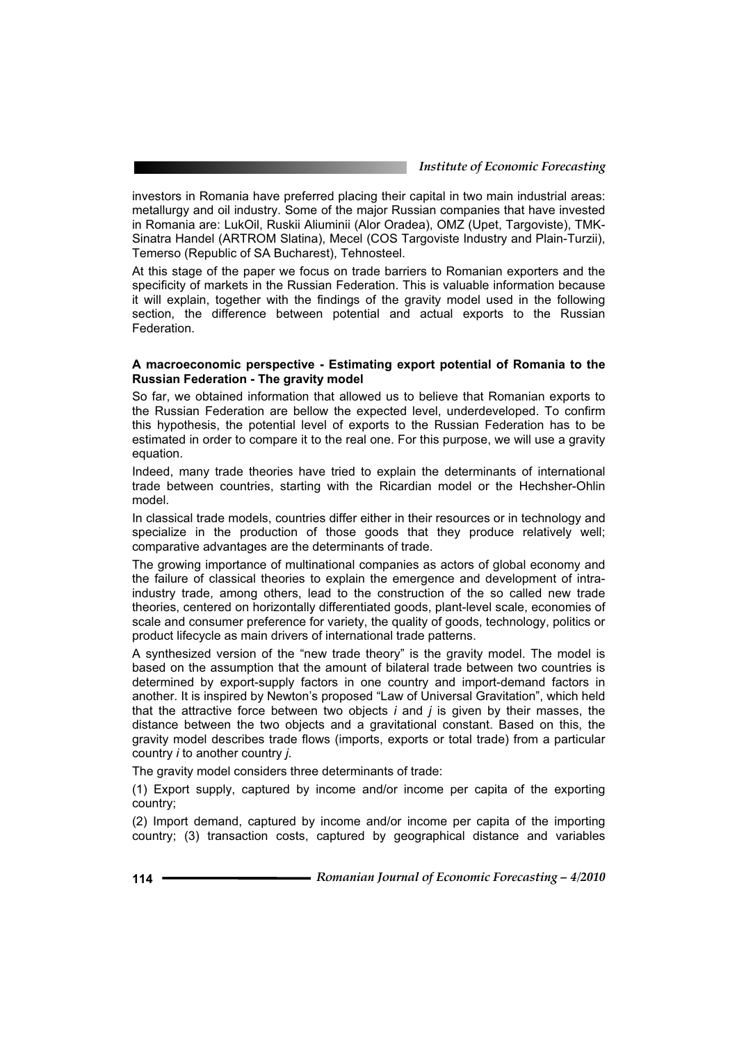investors in Romania have preferred placing their capital in two main industrial areas: metallurgy and oil industry. Some of the major Russian companies that have invested in Romania are: LukOil, Ruskii Aliuminii (Alor Oradea), OMZ (Upet, Targoviste), TMK-Sinatra Handel (ARTROM Slatina), Mecel (COS Targoviste Industry and Plain-Turzii), Temerso (Republic of SA Bucharest), Tehnosteel.

At this stage of the paper we focus on trade barriers to Romanian exporters and the specificity of markets in the Russian Federation. This is valuable information because it will explain, together with the findings of the gravity model used in the following section, the difference between potential and actual exports to the Russian **Federation** 

# **A macroeconomic perspective - Estimating export potential of Romania to the Russian Federation - The gravity model**

So far, we obtained information that allowed us to believe that Romanian exports to the Russian Federation are bellow the expected level, underdeveloped. To confirm this hypothesis, the potential level of exports to the Russian Federation has to be estimated in order to compare it to the real one. For this purpose, we will use a gravity equation.

Indeed, many trade theories have tried to explain the determinants of international trade between countries, starting with the Ricardian model or the Hechsher-Ohlin model.

In classical trade models, countries differ either in their resources or in technology and specialize in the production of those goods that they produce relatively well; comparative advantages are the determinants of trade.

The growing importance of multinational companies as actors of global economy and the failure of classical theories to explain the emergence and development of intraindustry trade, among others, lead to the construction of the so called new trade theories, centered on horizontally differentiated goods, plant-level scale, economies of scale and consumer preference for variety, the quality of goods, technology, politics or product lifecycle as main drivers of international trade patterns.

A synthesized version of the "new trade theory" is the gravity model. The model is based on the assumption that the amount of bilateral trade between two countries is determined by export-supply factors in one country and import-demand factors in another. It is inspired by Newton's proposed "Law of Universal Gravitation", which held that the attractive force between two objects *i* and *j* is given by their masses, the distance between the two objects and a gravitational constant. Based on this, the gravity model describes trade flows (imports, exports or total trade) from a particular country *i* to another country *j*.

The gravity model considers three determinants of trade:

(1) Export supply, captured by income and/or income per capita of the exporting country;

(2) Import demand, captured by income and/or income per capita of the importing country; (3) transaction costs, captured by geographical distance and variables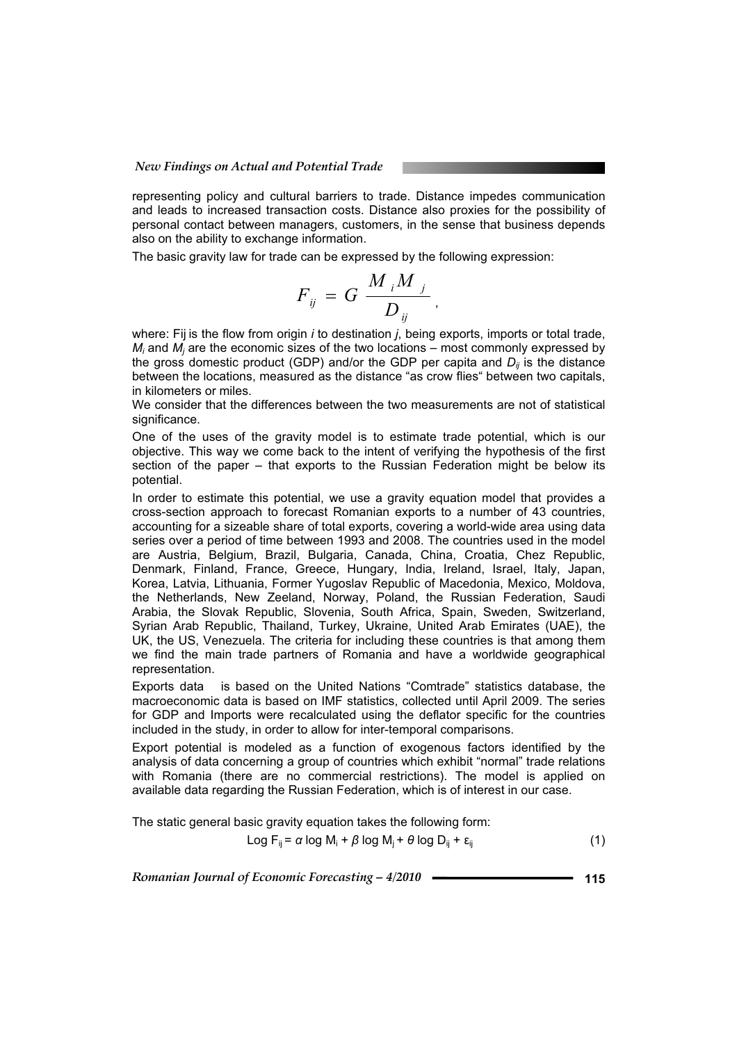#### *New Findings on Actual and Potential Trade*

representing policy and cultural barriers to trade. Distance impedes communication and leads to increased transaction costs. Distance also proxies for the possibility of personal contact between managers, customers, in the sense that business depends also on the ability to exchange information.

The basic gravity law for trade can be expressed by the following expression:

$$
F_{ij} = G \frac{M_i M_j}{D_{ij}},
$$

where: Fij is the flow from origin *i* to destination *j*, being exports, imports or total trade,  $M_i$  and  $M_i$  are the economic sizes of the two locations – most commonly expressed by the gross domestic product (GDP) and/or the GDP per capita and  $D_{ii}$  is the distance between the locations, measured as the distance "as crow flies" between two capitals, in kilometers or miles.

We consider that the differences between the two measurements are not of statistical significance.

One of the uses of the gravity model is to estimate trade potential, which is our objective. This way we come back to the intent of verifying the hypothesis of the first section of the paper – that exports to the Russian Federation might be below its potential.

In order to estimate this potential, we use a gravity equation model that provides a cross-section approach to forecast Romanian exports to a number of 43 countries, accounting for a sizeable share of total exports, covering a world-wide area using data series over a period of time between 1993 and 2008. The countries used in the model are Austria, Belgium, Brazil, Bulgaria, Canada, China, Croatia, Chez Republic, Denmark, Finland, France, Greece, Hungary, India, Ireland, Israel, Italy, Japan, Korea, Latvia, Lithuania, Former Yugoslav Republic of Macedonia, Mexico, Moldova, the Netherlands, New Zeeland, Norway, Poland, the Russian Federation, Saudi Arabia, the Slovak Republic, Slovenia, South Africa, Spain, Sweden, Switzerland, Syrian Arab Republic, Thailand, Turkey, Ukraine, United Arab Emirates (UAE), the UK, the US, Venezuela. The criteria for including these countries is that among them we find the main trade partners of Romania and have a worldwide geographical representation.

Exports data is based on the United Nations "Comtrade" statistics database, the macroeconomic data is based on IMF statistics, collected until April 2009. The series for GDP and Imports were recalculated using the deflator specific for the countries included in the study, in order to allow for inter-temporal comparisons.

Export potential is modeled as a function of exogenous factors identified by the analysis of data concerning a group of countries which exhibit "normal" trade relations with Romania (there are no commercial restrictions). The model is applied on available data regarding the Russian Federation, which is of interest in our case.

The static general basic gravity equation takes the following form:

$$
Log F_{ij} = \alpha log M_i + \beta log M_j + \theta log D_{ij} + \varepsilon_{ij}
$$
\n(1)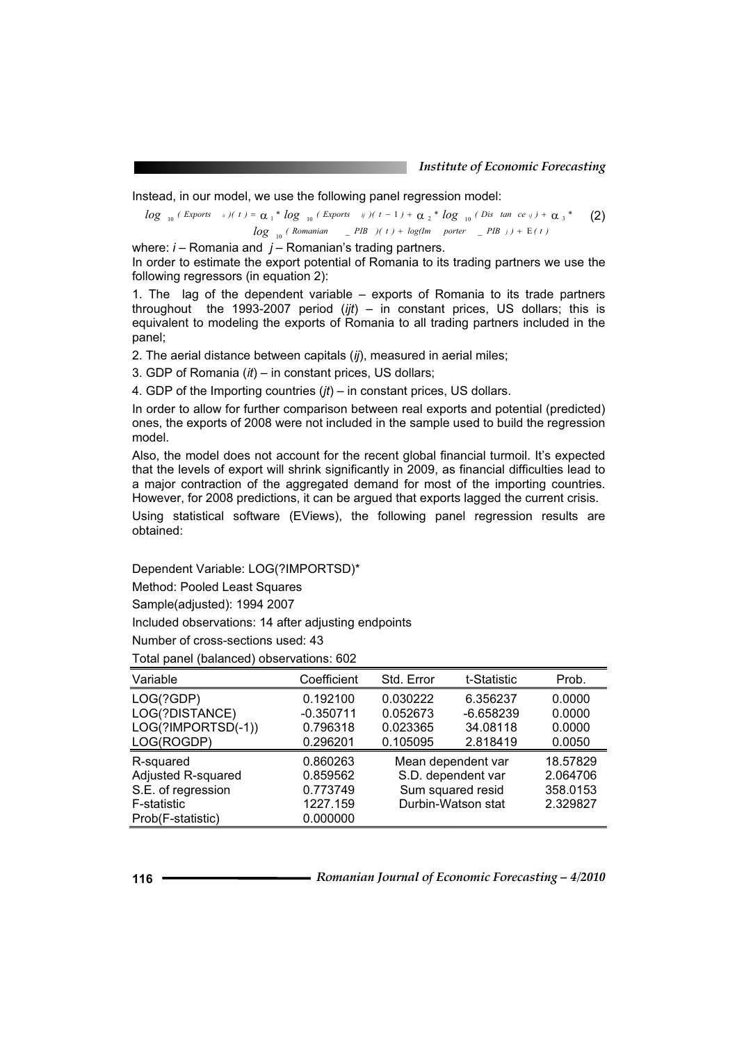Instead, in our model, we use the following panel regression model:

 $log_{10} (Romanian - PIB) (t) + log(Im - porter - PIB) + E(t)$  $log_{10}( \text{Express } i)(t) = \alpha_1 * log_{10}( \text{Express } i)(t-1) + \alpha_2 * log_{10}( \text{Dis } \tan \text{ ce } i) + \alpha_3 * (2)$ 

where: *i* – Romania and *j* – Romanian's trading partners.

In order to estimate the export potential of Romania to its trading partners we use the following regressors (in equation 2):

1. The lag of the dependent variable – exports of Romania to its trade partners throughout the 1993-2007 period (*ijt*) – in constant prices, US dollars; this is equivalent to modeling the exports of Romania to all trading partners included in the panel;

2. The aerial distance between capitals (*ij*), measured in aerial miles;

3. GDP of Romania (*it*) – in constant prices, US dollars;

4. GDP of the Importing countries (*jt*) – in constant prices, US dollars.

In order to allow for further comparison between real exports and potential (predicted) ones, the exports of 2008 were not included in the sample used to build the regression model.

Also, the model does not account for the recent global financial turmoil. It's expected that the levels of export will shrink significantly in 2009, as financial difficulties lead to a major contraction of the aggregated demand for most of the importing countries. However, for 2008 predictions, it can be argued that exports lagged the current crisis.

Using statistical software (EViews), the following panel regression results are obtained:

Dependent Variable: LOG(?IMPORTSD)\*

Method: Pooled Least Squares

Sample(adjusted): 1994 2007

Included observations: 14 after adjusting endpoints

Number of cross-sections used: 43

Total panel (balanced) observations: 602

| Variable           | Coefficient | Std. Error         | t-Statistic        | Prob.    |
|--------------------|-------------|--------------------|--------------------|----------|
| LOG(?GDP)          | 0.192100    | 0.030222           | 6.356237           | 0.0000   |
| LOG(?DISTANCE)     | $-0.350711$ | 0.052673           | $-6.658239$        | 0.0000   |
| LOG(?IMPORTSD(-1)) | 0.796318    | 0.023365           | 34.08118           | 0.0000   |
| LOG(ROGDP)         | 0.296201    | 0.105095           | 2.818419           | 0.0050   |
| R-squared          | 0.860263    |                    | Mean dependent var |          |
| Adjusted R-squared | 0.859562    | S.D. dependent var |                    | 2.064706 |
| S.E. of regression | 0.773749    | Sum squared resid  |                    | 358.0153 |
| F-statistic        | 1227.159    | Durbin-Watson stat |                    | 2.329827 |
| Prob(F-statistic)  | 0.000000    |                    |                    |          |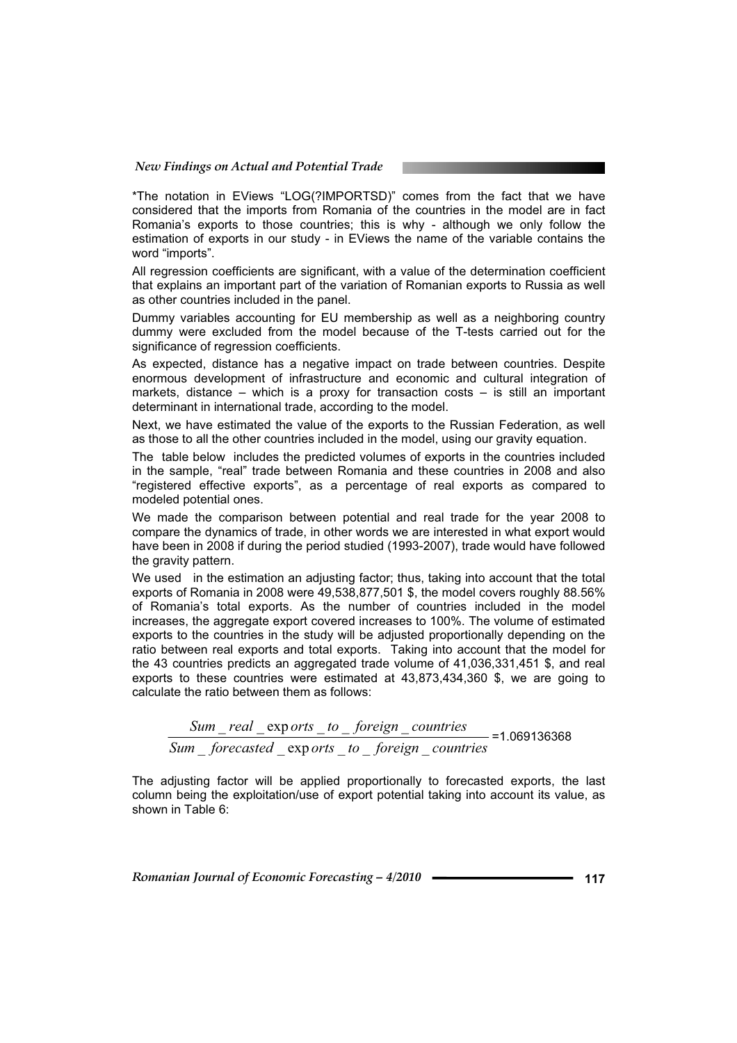\*The notation in EViews "LOG(?IMPORTSD)" comes from the fact that we have considered that the imports from Romania of the countries in the model are in fact Romania's exports to those countries; this is why - although we only follow the estimation of exports in our study - in EViews the name of the variable contains the word "imports".

All regression coefficients are significant, with a value of the determination coefficient that explains an important part of the variation of Romanian exports to Russia as well as other countries included in the panel.

Dummy variables accounting for EU membership as well as a neighboring country dummy were excluded from the model because of the T-tests carried out for the significance of regression coefficients.

As expected, distance has a negative impact on trade between countries. Despite enormous development of infrastructure and economic and cultural integration of markets, distance – which is a proxy for transaction costs – is still an important determinant in international trade, according to the model.

Next, we have estimated the value of the exports to the Russian Federation, as well as those to all the other countries included in the model, using our gravity equation.

The table below includes the predicted volumes of exports in the countries included in the sample, "real" trade between Romania and these countries in 2008 and also "registered effective exports", as a percentage of real exports as compared to modeled potential ones.

We made the comparison between potential and real trade for the year 2008 to compare the dynamics of trade, in other words we are interested in what export would have been in 2008 if during the period studied (1993-2007), trade would have followed the gravity pattern.

We used in the estimation an adjusting factor; thus, taking into account that the total exports of Romania in 2008 were 49,538,877,501 \$, the model covers roughly 88.56% of Romania's total exports. As the number of countries included in the model increases, the aggregate export covered increases to 100%. The volume of estimated exports to the countries in the study will be adjusted proportionally depending on the ratio between real exports and total exports. Taking into account that the model for the 43 countries predicts an aggregated trade volume of 41,036,331,451 \$, and real exports to these countries were estimated at 43,873,434,360 \$, we are going to calculate the ratio between them as follows:

 $Sum$  *forecasted*  $\_\exp{orts}$  *to*  $\_\$  *foreign*  $\_\_c$  *countries*  $Sum$  *real*  $\_\exp{orts}$  *to*  $\_\$  *foreign*  $\_\$  *countries*  $-$  =1.069136368

The adjusting factor will be applied proportionally to forecasted exports, the last column being the exploitation/use of export potential taking into account its value, as shown in Table 6: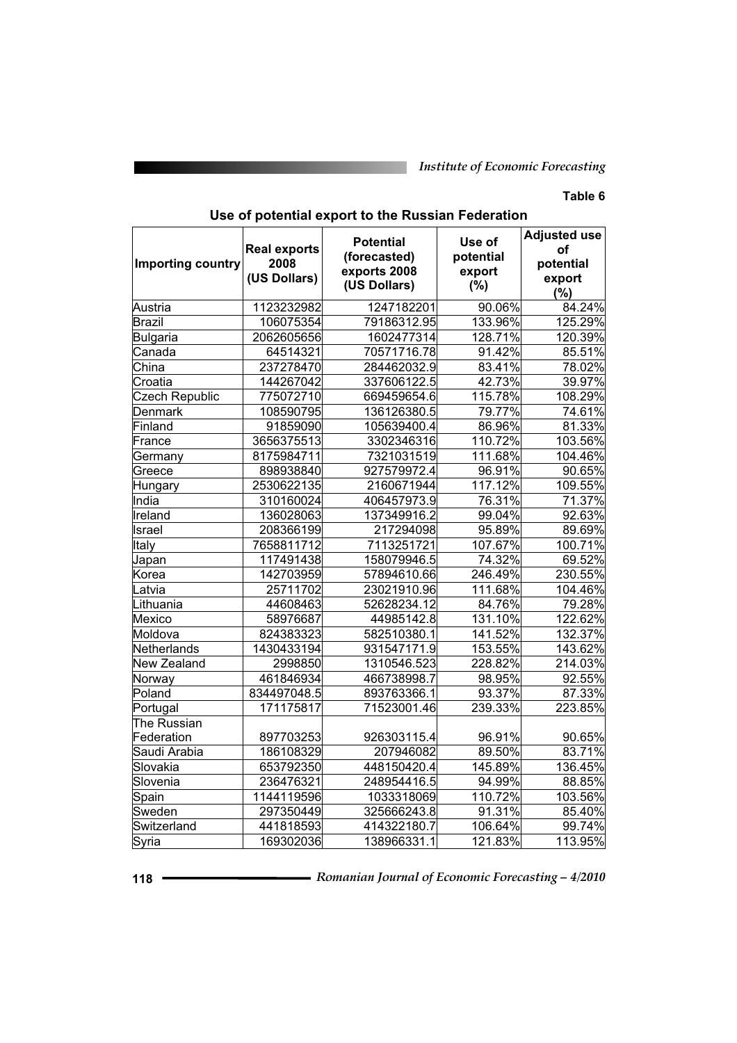# **Table 6**

| <b>Importing country</b> | <b>Real exports</b><br>2008<br>(US Dollars) | <b>Potential</b><br>(forecasted)<br>exports 2008<br>(US Dollars) | Use of<br>potential<br>export<br>(%) | <b>Adjusted use</b><br>of<br>potential<br>export<br>(%) |  |
|--------------------------|---------------------------------------------|------------------------------------------------------------------|--------------------------------------|---------------------------------------------------------|--|
| Austria                  | 1123232982                                  | 1247182201                                                       | 90.06%                               | 84.24%                                                  |  |
| Brazil                   | 106075354                                   | 79186312.95                                                      | 133.96%                              | 125.29%                                                 |  |
| Bulgaria                 | 2062605656                                  | 1602477314                                                       | 128.71%                              | 120.39%                                                 |  |
| Canada                   | 64514321                                    | 70571716.78                                                      | 91.42%                               | 85.51%                                                  |  |
| China                    | 237278470                                   | 284462032.9                                                      | 83.41%                               | 78.02%                                                  |  |
| Croatia                  | 144267042                                   | 337606122.5                                                      | 42.73%                               | 39.97%                                                  |  |
| <b>Czech Republic</b>    | 775072710                                   | 669459654.6                                                      | 115.78%                              | 108.29%                                                 |  |
| Denmark                  | 108590795                                   | 136126380.5                                                      | 79.77%                               | 74.61%                                                  |  |
| Finland                  | 91859090                                    | 105639400.4                                                      | 86.96%                               | 81.33%                                                  |  |
| France                   | 3656375513                                  | 3302346316                                                       | 110.72%                              | 103.56%                                                 |  |
| Germany                  | 8175984711                                  | 7321031519                                                       | 111.68%                              | 104.46%                                                 |  |
| Greece                   | 898938840                                   | 927579972.4                                                      | 96.91%                               | 90.65%                                                  |  |
| Hungary                  | 2530622135                                  | 2160671944                                                       | 117.12%                              | 109.55%                                                 |  |
| India                    | 310160024                                   | 406457973.9                                                      | 76.31%                               | 71.37%                                                  |  |
| Ireland                  | 136028063                                   | 137349916.2                                                      | 99.04%                               | 92.63%                                                  |  |
| Israel                   | 208366199                                   | 217294098                                                        | 95.89%                               | 89.69%                                                  |  |
| Italy                    | 7658811712                                  | 7113251721                                                       | 107.67%                              | 100.71%                                                 |  |
| Japan                    | 117491438                                   | 158079946.5                                                      | 74.32%                               | 69.52%                                                  |  |
| Korea                    | 142703959                                   | 57894610.66                                                      | 246.49%                              | 230.55%                                                 |  |
| Latvia                   | 25711702                                    | 23021910.96                                                      | 111.68%                              | 104.46%                                                 |  |
| Lithuania                | 44608463                                    | 52628234.12                                                      | 84.76%                               | 79.28%                                                  |  |
| Mexico                   | 58976687                                    | 44985142.8                                                       | 131.10%                              | 122.62%                                                 |  |
| Moldova                  | 824383323                                   | 582510380.1                                                      | 141.52%                              | 132.37%                                                 |  |
| Netherlands              | 1430433194                                  | 931547171.9                                                      | 153.55%                              | 143.62%                                                 |  |
| New Zealand              | 2998850                                     | 1310546.523                                                      | 228.82%                              | 214.03%                                                 |  |
| Norway                   | 461846934                                   | 466738998.7                                                      | 98.95%                               | 92.55%                                                  |  |
| Poland                   | 834497048.5                                 | 893763366.1                                                      | 93.37%                               | 87.33%                                                  |  |
| Portugal                 | 171175817                                   | 71523001.46                                                      | 239.33%                              | 223.85%                                                 |  |
| The Russian              |                                             |                                                                  |                                      |                                                         |  |
| Federation               | 897703253                                   | 926303115.4                                                      | 96.91%                               | 90.65%                                                  |  |
| Saudi Arabia             | 186108329                                   | 207946082                                                        | 89.50%                               | 83.71%                                                  |  |
| Slovakia                 | 653792350                                   | 448150420.4                                                      | 145.89%                              | 136.45%                                                 |  |
| Slovenia                 | 236476321                                   | 248954416.5                                                      | 94.99%                               | 88.85%                                                  |  |
| Spain                    | 1144119596                                  | 1033318069                                                       | 110.72%                              | 103.56%                                                 |  |
| Sweden                   | 297350449                                   | 325666243.8                                                      | 91.31%                               | 85.40%                                                  |  |
| Switzerland              | 441818593                                   | 414322180.7                                                      | 106.64%                              | 99.74%                                                  |  |
| Syria                    | 169302036                                   | 138966331.1                                                      | 121.83%                              | 113.95%                                                 |  |

# **Use of potential export to the Russian Federation**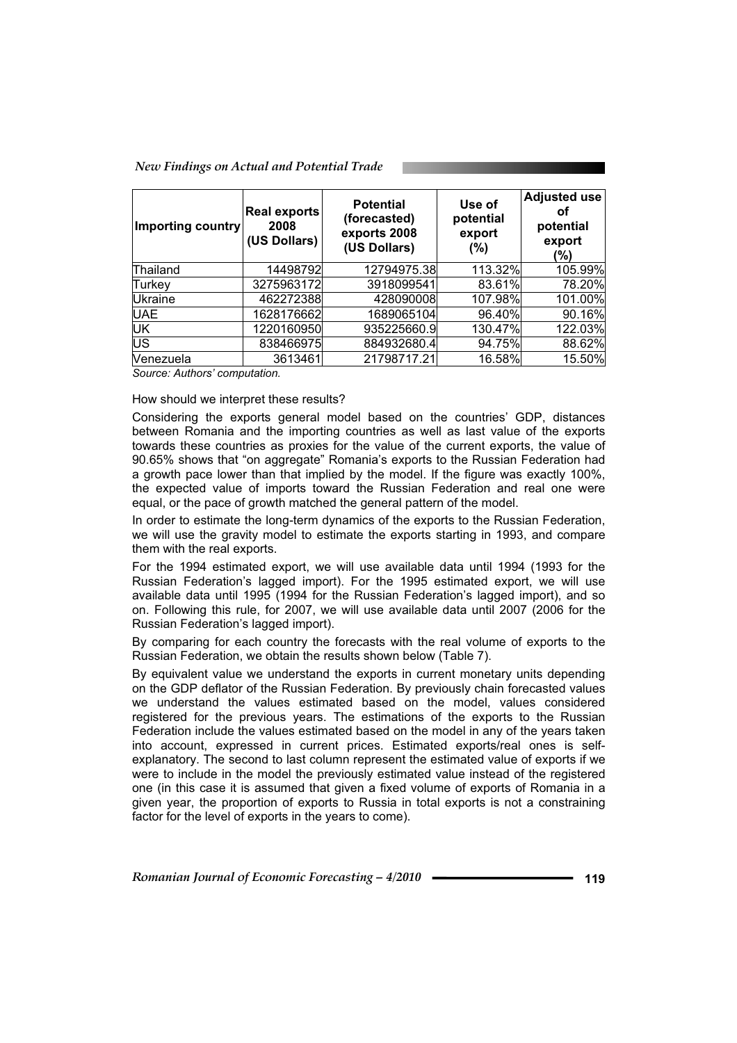*New Findings on Actual and Potential Trade* 

| Importing country | Real exports<br>2008<br>(US Dollars) | <b>Potential</b><br>(forecasted)<br>exports 2008<br>(US Dollars) | Use of<br>potential<br>export<br>$(\%)$ | <b>Adjusted use</b><br>οf<br>potential<br>export<br>(%) |
|-------------------|--------------------------------------|------------------------------------------------------------------|-----------------------------------------|---------------------------------------------------------|
| Thailand          | 14498792                             | 12794975.38                                                      | 113.32%                                 | 105.99%                                                 |
| Turkey            | 3275963172                           | 3918099541                                                       | 83.61%                                  | 78.20%                                                  |
| Ukraine           | 462272388                            | 428090008                                                        | 107.98%                                 | 101.00%                                                 |
| <b>UAE</b>        | 1628176662                           | 1689065104                                                       | 96.40%                                  | 90.16%                                                  |
| UK                | 1220160950                           | 935225660.9                                                      | 130.47%                                 | 122.03%                                                 |
| <b>US</b>         | 838466975                            | 884932680.4                                                      | 94.75%                                  | 88.62%                                                  |
| Nenezuela         | 3613461                              | 21798717.21                                                      | 16.58%                                  | 15.50%                                                  |

*Source: Authors' computation.* 

## How should we interpret these results?

Considering the exports general model based on the countries' GDP, distances between Romania and the importing countries as well as last value of the exports towards these countries as proxies for the value of the current exports, the value of 90.65% shows that "on aggregate" Romania's exports to the Russian Federation had a growth pace lower than that implied by the model. If the figure was exactly 100%, the expected value of imports toward the Russian Federation and real one were equal, or the pace of growth matched the general pattern of the model.

In order to estimate the long-term dynamics of the exports to the Russian Federation, we will use the gravity model to estimate the exports starting in 1993, and compare them with the real exports.

For the 1994 estimated export, we will use available data until 1994 (1993 for the Russian Federation's lagged import). For the 1995 estimated export, we will use available data until 1995 (1994 for the Russian Federation's lagged import), and so on. Following this rule, for 2007, we will use available data until 2007 (2006 for the Russian Federation's lagged import).

By comparing for each country the forecasts with the real volume of exports to the Russian Federation, we obtain the results shown below (Table 7).

By equivalent value we understand the exports in current monetary units depending on the GDP deflator of the Russian Federation. By previously chain forecasted values we understand the values estimated based on the model, values considered registered for the previous years. The estimations of the exports to the Russian Federation include the values estimated based on the model in any of the years taken into account, expressed in current prices. Estimated exports/real ones is selfexplanatory. The second to last column represent the estimated value of exports if we were to include in the model the previously estimated value instead of the registered one (in this case it is assumed that given a fixed volume of exports of Romania in a given year, the proportion of exports to Russia in total exports is not a constraining factor for the level of exports in the years to come).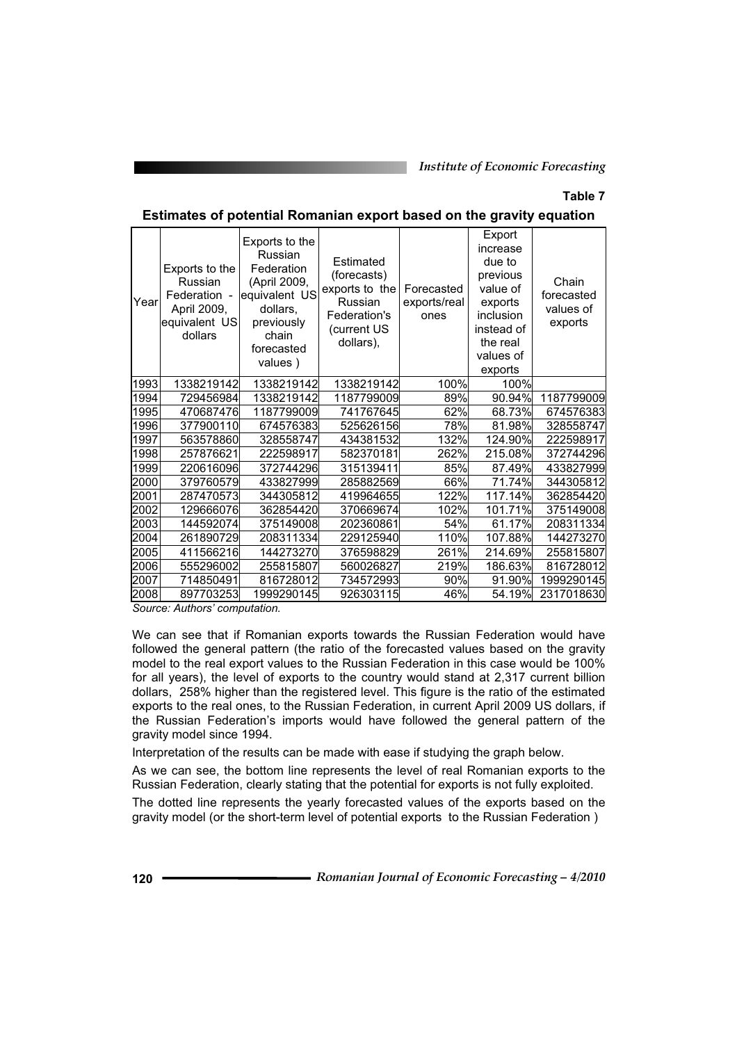# **Table 7**

| Year | Exports to the<br>Russian<br>Federation -<br>April 2009,<br>equivalent US<br>dollars | Exports to the<br>Russian<br>Federation<br>(April 2009,<br>equivalent US<br>dollars,<br>previously<br>chain<br>forecasted<br>values) | Estimated<br>(forecasts)<br>exports to the<br>Russian<br>Federation's<br>(current US<br>dollars), | Forecasted<br>exports/real<br>ones | Export<br>increase<br>due to<br>previous<br>value of<br>exports<br>inclusion<br>instead of<br>the real<br>values of<br>exports | Chain<br>forecasted<br>values of<br>exports |
|------|--------------------------------------------------------------------------------------|--------------------------------------------------------------------------------------------------------------------------------------|---------------------------------------------------------------------------------------------------|------------------------------------|--------------------------------------------------------------------------------------------------------------------------------|---------------------------------------------|
| 1993 | 1338219142                                                                           | 1338219142                                                                                                                           | 1338219142                                                                                        | 100%                               | 100%                                                                                                                           |                                             |
| 1994 | 729456984                                                                            | 1338219142                                                                                                                           | 1187799009                                                                                        | 89%                                | 90.94%                                                                                                                         | 1187799009                                  |
| 1995 | 470687476                                                                            | 1187799009                                                                                                                           | 741767645                                                                                         | 62%                                | 68.73%                                                                                                                         | 674576383                                   |
| 1996 | 377900110                                                                            | 674576383                                                                                                                            | 525626156                                                                                         | 78%                                | 81.98%                                                                                                                         | 328558747                                   |
| 1997 | 563578860                                                                            | 328558747                                                                                                                            | 434381532                                                                                         | 132%                               | 124.90%                                                                                                                        | 222598917                                   |
| 1998 | 257876621                                                                            | 222598917                                                                                                                            | 582370181                                                                                         | 262%                               | 215.08%                                                                                                                        | 372744296                                   |
| 1999 | 220616096                                                                            | 372744296                                                                                                                            | 315139411                                                                                         | 85%                                | 87.49%                                                                                                                         | 433827999                                   |
| 2000 | 379760579                                                                            | 433827999                                                                                                                            | 285882569                                                                                         | 66%                                | 71.74%                                                                                                                         | 344305812                                   |
| 2001 | 287470573                                                                            | 344305812                                                                                                                            | 419964655                                                                                         | 122%                               | 117.14%                                                                                                                        | 362854420                                   |
| 2002 | 129666076                                                                            | 362854420                                                                                                                            | 370669674                                                                                         | 102%                               | 101.71%                                                                                                                        | 375149008                                   |
| 2003 | 144592074                                                                            | 375149008                                                                                                                            | 202360861                                                                                         | 54%                                | 61.17%                                                                                                                         | 208311334                                   |
| 2004 | 261890729                                                                            | 208311334                                                                                                                            | 229125940                                                                                         | 110%                               | 107.88%                                                                                                                        | 144273270                                   |
| 2005 | 411566216                                                                            | 144273270                                                                                                                            | 376598829                                                                                         | 261%                               | 214.69%                                                                                                                        | 255815807                                   |
| 2006 | 555296002                                                                            | 255815807                                                                                                                            | 560026827                                                                                         | 219%                               | 186.63%                                                                                                                        | 816728012                                   |
| 2007 | 714850491                                                                            | 816728012                                                                                                                            | 734572993                                                                                         | 90%                                | 91.90%                                                                                                                         | 1999290145                                  |
| 2008 | 897703253                                                                            | 1999290145                                                                                                                           | 926303115                                                                                         | 46%                                | 54.19%                                                                                                                         | 2317018630                                  |
|      |                                                                                      |                                                                                                                                      |                                                                                                   |                                    |                                                                                                                                |                                             |

#### **Estimates of potential Romanian export based on the gravity equation**

*Source: Authors' computation.* 

We can see that if Romanian exports towards the Russian Federation would have followed the general pattern (the ratio of the forecasted values based on the gravity model to the real export values to the Russian Federation in this case would be 100% for all years), the level of exports to the country would stand at 2,317 current billion dollars, 258% higher than the registered level. This figure is the ratio of the estimated exports to the real ones, to the Russian Federation, in current April 2009 US dollars, if the Russian Federation's imports would have followed the general pattern of the gravity model since 1994.

Interpretation of the results can be made with ease if studying the graph below.

As we can see, the bottom line represents the level of real Romanian exports to the Russian Federation, clearly stating that the potential for exports is not fully exploited.

The dotted line represents the yearly forecasted values of the exports based on the gravity model (or the short-term level of potential exports to the Russian Federation )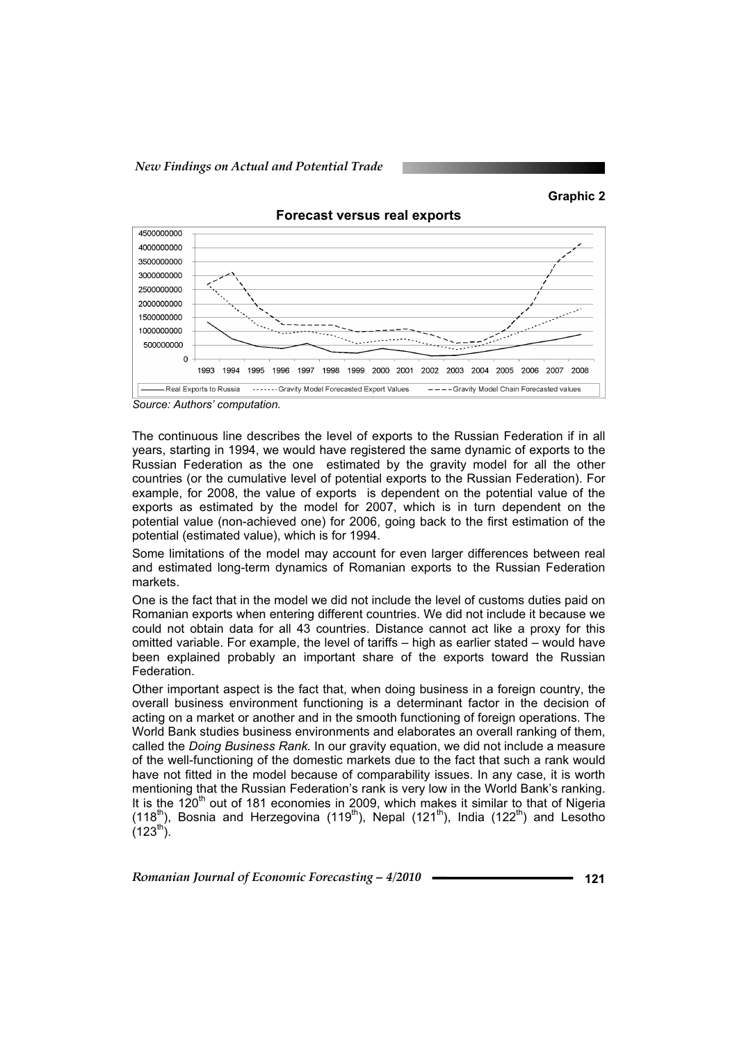



**Forecast versus real exports** 

*Source: Authors' computation.* 

The continuous line describes the level of exports to the Russian Federation if in all years, starting in 1994, we would have registered the same dynamic of exports to the Russian Federation as the one estimated by the gravity model for all the other countries (or the cumulative level of potential exports to the Russian Federation). For example, for 2008, the value of exports is dependent on the potential value of the exports as estimated by the model for 2007, which is in turn dependent on the potential value (non-achieved one) for 2006, going back to the first estimation of the potential (estimated value), which is for 1994.

Some limitations of the model may account for even larger differences between real and estimated long-term dynamics of Romanian exports to the Russian Federation markets.

One is the fact that in the model we did not include the level of customs duties paid on Romanian exports when entering different countries. We did not include it because we could not obtain data for all 43 countries. Distance cannot act like a proxy for this omitted variable. For example, the level of tariffs – high as earlier stated – would have been explained probably an important share of the exports toward the Russian Federation.

Other important aspect is the fact that, when doing business in a foreign country, the overall business environment functioning is a determinant factor in the decision of acting on a market or another and in the smooth functioning of foreign operations. The World Bank studies business environments and elaborates an overall ranking of them, called the *Doing Business Rank.* In our gravity equation, we did not include a measure of the well-functioning of the domestic markets due to the fact that such a rank would have not fitted in the model because of comparability issues. In any case, it is worth mentioning that the Russian Federation's rank is very low in the World Bank's ranking. It is the  $120<sup>th</sup>$  out of 181 economies in 2009, which makes it similar to that of Nigeria (118<sup>th</sup>), Bosnia and Herzegovina (119<sup>th</sup>), Nepal (121<sup>th</sup>), India (122<sup>th</sup>) and Lesotho  $(123^{th})$ .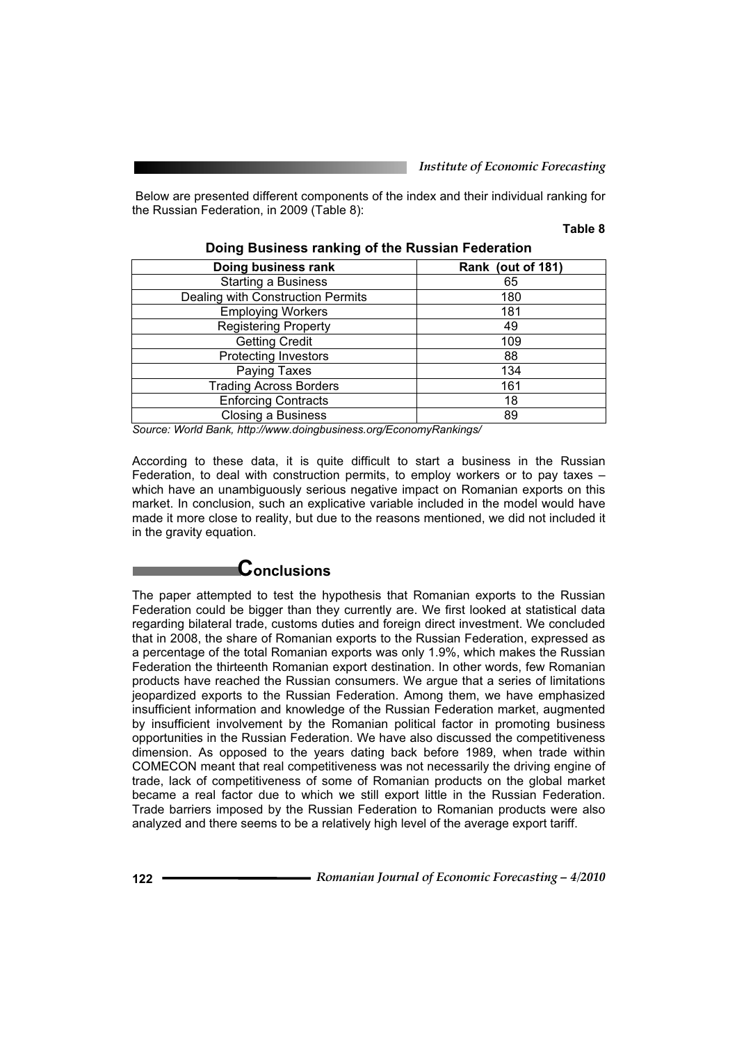Below are presented different components of the index and their individual ranking for the Russian Federation, in 2009 (Table 8):

#### **Table 8**

| Doing business rank               | Rank (out of 181) |
|-----------------------------------|-------------------|
| <b>Starting a Business</b>        | 65                |
| Dealing with Construction Permits | 180               |
| <b>Employing Workers</b>          | 181               |
| <b>Registering Property</b>       | 49                |
| <b>Getting Credit</b>             | 109               |
| <b>Protecting Investors</b>       | 88                |
| Paying Taxes                      | 134               |
| <b>Trading Across Borders</b>     | 161               |
| <b>Enforcing Contracts</b>        | 18                |
| <b>Closing a Business</b>         | 89                |

**Doing Business ranking of the Russian Federation** 

*Source: World Bank, http://www.doingbusiness.org/EconomyRankings/* 

According to these data, it is quite difficult to start a business in the Russian Federation, to deal with construction permits, to employ workers or to pay taxes – which have an unambiguously serious negative impact on Romanian exports on this market. In conclusion, such an explicative variable included in the model would have made it more close to reality, but due to the reasons mentioned, we did not included it in the gravity equation.

# **Conclusions**

The paper attempted to test the hypothesis that Romanian exports to the Russian Federation could be bigger than they currently are. We first looked at statistical data regarding bilateral trade, customs duties and foreign direct investment. We concluded that in 2008, the share of Romanian exports to the Russian Federation, expressed as a percentage of the total Romanian exports was only 1.9%, which makes the Russian Federation the thirteenth Romanian export destination. In other words, few Romanian products have reached the Russian consumers. We argue that a series of limitations jeopardized exports to the Russian Federation. Among them, we have emphasized insufficient information and knowledge of the Russian Federation market, augmented by insufficient involvement by the Romanian political factor in promoting business opportunities in the Russian Federation. We have also discussed the competitiveness dimension. As opposed to the years dating back before 1989, when trade within COMECON meant that real competitiveness was not necessarily the driving engine of trade, lack of competitiveness of some of Romanian products on the global market became a real factor due to which we still export little in the Russian Federation. Trade barriers imposed by the Russian Federation to Romanian products were also analyzed and there seems to be a relatively high level of the average export tariff.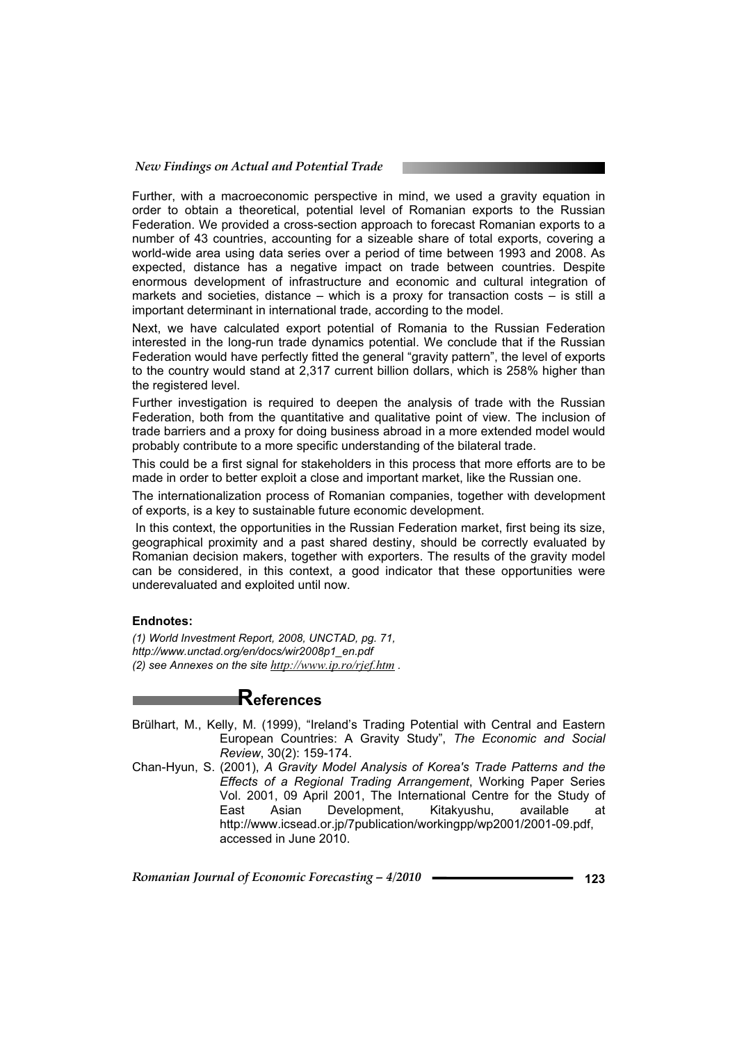#### *New Findings on Actual and Potential Trade*

Further, with a macroeconomic perspective in mind, we used a gravity equation in order to obtain a theoretical, potential level of Romanian exports to the Russian Federation. We provided a cross-section approach to forecast Romanian exports to a number of 43 countries, accounting for a sizeable share of total exports, covering a world-wide area using data series over a period of time between 1993 and 2008. As expected, distance has a negative impact on trade between countries. Despite enormous development of infrastructure and economic and cultural integration of markets and societies, distance – which is a proxy for transaction costs – is still a important determinant in international trade, according to the model.

Next, we have calculated export potential of Romania to the Russian Federation interested in the long-run trade dynamics potential. We conclude that if the Russian Federation would have perfectly fitted the general "gravity pattern", the level of exports to the country would stand at 2,317 current billion dollars, which is 258% higher than the registered level.

Further investigation is required to deepen the analysis of trade with the Russian Federation, both from the quantitative and qualitative point of view. The inclusion of trade barriers and a proxy for doing business abroad in a more extended model would probably contribute to a more specific understanding of the bilateral trade.

This could be a first signal for stakeholders in this process that more efforts are to be made in order to better exploit a close and important market, like the Russian one.

The internationalization process of Romanian companies, together with development of exports, is a key to sustainable future economic development.

 In this context, the opportunities in the Russian Federation market, first being its size, geographical proximity and a past shared destiny, should be correctly evaluated by Romanian decision makers, together with exporters. The results of the gravity model can be considered, in this context, a good indicator that these opportunities were underevaluated and exploited until now.

# **Endnotes:**

*(1) World Investment Report, 2008, UNCTAD, pg. 71, http://www.unctad.org/en/docs/wir2008p1\_en.pdf (2) see Annexes on the site http://www.ip.ro/rjef.htm .* 

# **References**

- Brülhart, M., Kelly, M. (1999), "Ireland's Trading Potential with Central and Eastern European Countries: A Gravity Study", *The Economic and Social Review*, 30(2): 159-174.
- Chan-Hyun, S. (2001), *A Gravity Model Analysis of Korea's Trade Patterns and the Effects of a Regional Trading Arrangement*, Working Paper Series Vol. 2001, 09 April 2001, The International Centre for the Study of East Asian Development, Kitakyushu, available at http://www.icsead.or.jp/7publication/workingpp/wp2001/2001-09.pdf, accessed in June 2010.